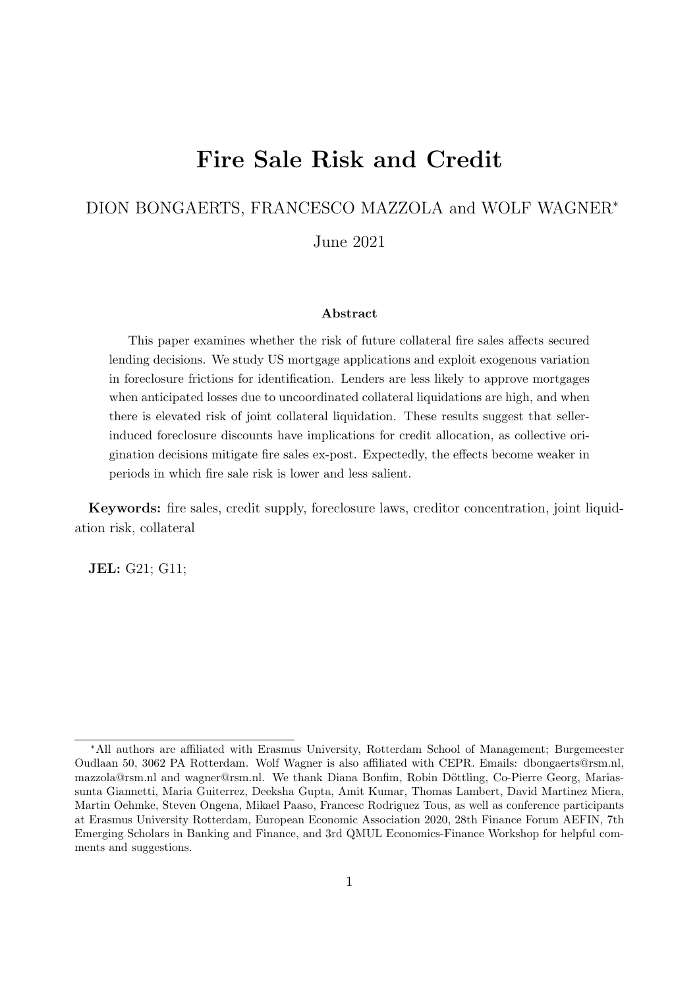# Fire Sale Risk and Credit

#### DION BONGAERTS, FRANCESCO MAZZOLA and WOLF WAGNER<sup>∗</sup>

June 2021

#### Abstract

This paper examines whether the risk of future collateral fire sales affects secured lending decisions. We study US mortgage applications and exploit exogenous variation in foreclosure frictions for identification. Lenders are less likely to approve mortgages when anticipated losses due to uncoordinated collateral liquidations are high, and when there is elevated risk of joint collateral liquidation. These results suggest that sellerinduced foreclosure discounts have implications for credit allocation, as collective origination decisions mitigate fire sales ex-post. Expectedly, the effects become weaker in periods in which fire sale risk is lower and less salient.

Keywords: fire sales, credit supply, foreclosure laws, creditor concentration, joint liquidation risk, collateral

JEL: G21; G11;

<sup>∗</sup>All authors are affiliated with Erasmus University, Rotterdam School of Management; Burgemeester Oudlaan 50, 3062 PA Rotterdam. Wolf Wagner is also affiliated with CEPR. Emails: dbongaerts@rsm.nl, mazzola@rsm.nl and wagner@rsm.nl. We thank Diana Bonfim, Robin Döttling, Co-Pierre Georg, Mariassunta Giannetti, Maria Guiterrez, Deeksha Gupta, Amit Kumar, Thomas Lambert, David Martinez Miera, Martin Oehmke, Steven Ongena, Mikael Paaso, Francesc Rodriguez Tous, as well as conference participants at Erasmus University Rotterdam, European Economic Association 2020, 28th Finance Forum AEFIN, 7th Emerging Scholars in Banking and Finance, and 3rd QMUL Economics-Finance Workshop for helpful comments and suggestions.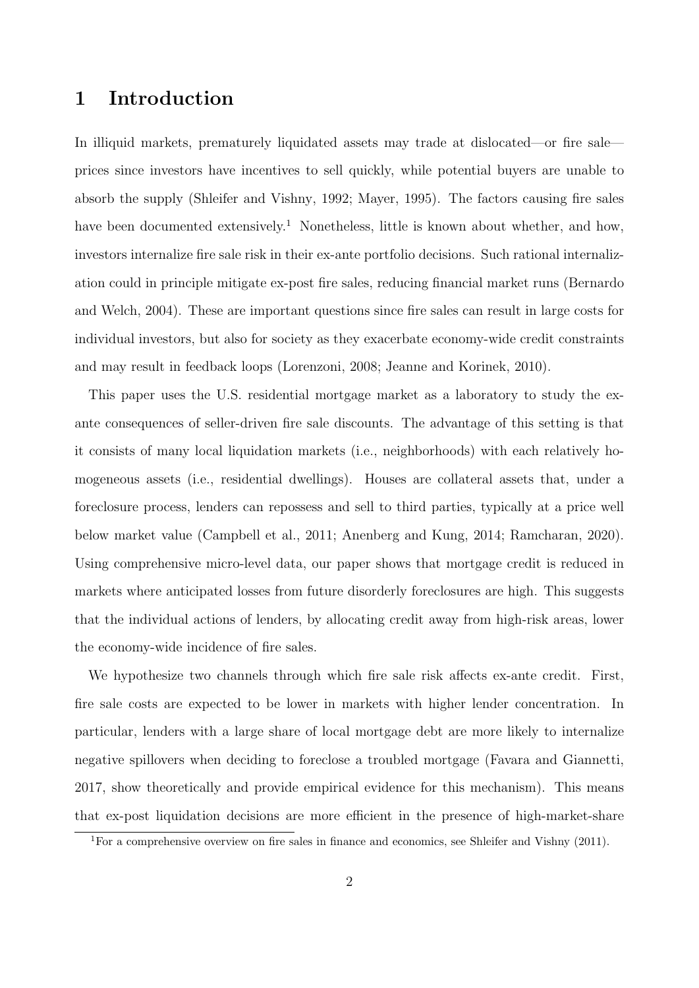## 1 Introduction

In illiquid markets, prematurely liquidated assets may trade at dislocated—or fire sale prices since investors have incentives to sell quickly, while potential buyers are unable to absorb the supply [\(Shleifer and Vishny, 1992;](#page-30-0) [Mayer, 1995\)](#page-29-0). The factors causing fire sales have been documented extensively.<sup>[1](#page-1-0)</sup> Nonetheless, little is known about whether, and how, investors internalize fire sale risk in their ex-ante portfolio decisions. Such rational internalization could in principle mitigate ex-post fire sales, reducing financial market runs [\(Bernardo](#page-27-0) [and Welch, 2004\)](#page-27-0). These are important questions since fire sales can result in large costs for individual investors, but also for society as they exacerbate economy-wide credit constraints and may result in feedback loops [\(Lorenzoni, 2008;](#page-29-1) [Jeanne and Korinek, 2010\)](#page-29-2).

This paper uses the U.S. residential mortgage market as a laboratory to study the exante consequences of seller-driven fire sale discounts. The advantage of this setting is that it consists of many local liquidation markets (i.e., neighborhoods) with each relatively homogeneous assets (i.e., residential dwellings). Houses are collateral assets that, under a foreclosure process, lenders can repossess and sell to third parties, typically at a price well below market value [\(Campbell et al., 2011;](#page-27-1) [Anenberg and Kung, 2014;](#page-27-2) [Ramcharan, 2020\)](#page-29-3). Using comprehensive micro-level data, our paper shows that mortgage credit is reduced in markets where anticipated losses from future disorderly foreclosures are high. This suggests that the individual actions of lenders, by allocating credit away from high-risk areas, lower the economy-wide incidence of fire sales.

We hypothesize two channels through which fire sale risk affects ex-ante credit. First, fire sale costs are expected to be lower in markets with higher lender concentration. In particular, lenders with a large share of local mortgage debt are more likely to internalize negative spillovers when deciding to foreclose a troubled mortgage [\(Favara and Giannetti,](#page-28-0) [2017,](#page-28-0) show theoretically and provide empirical evidence for this mechanism). This means that ex-post liquidation decisions are more efficient in the presence of high-market-share

<span id="page-1-0"></span><sup>1</sup>For a comprehensive overview on fire sales in finance and economics, see [Shleifer and Vishny](#page-29-4) [\(2011\)](#page-29-4).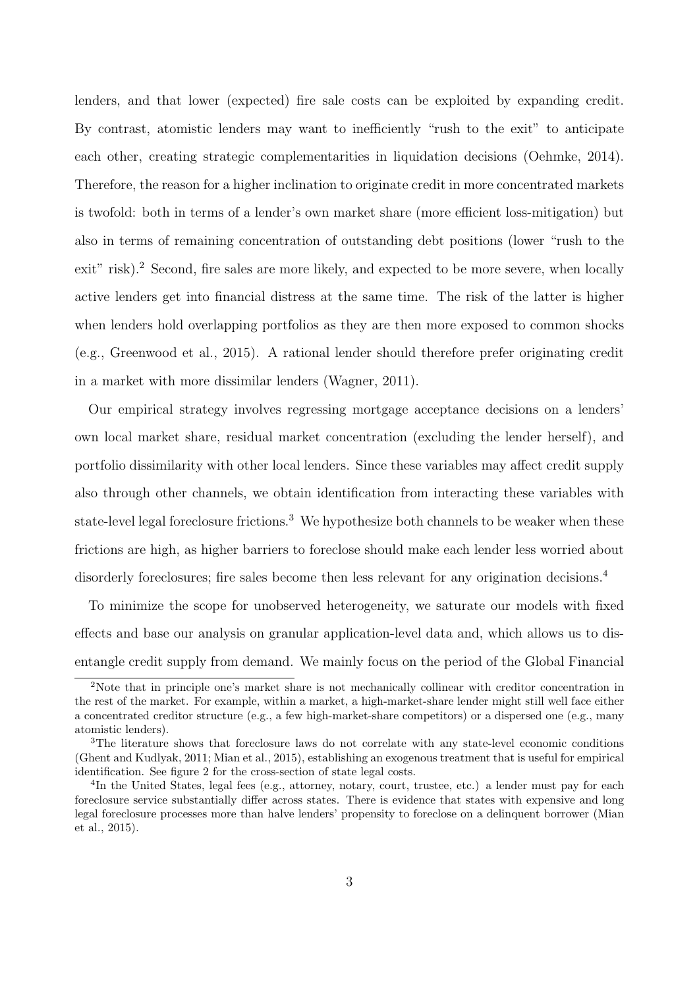lenders, and that lower (expected) fire sale costs can be exploited by expanding credit. By contrast, atomistic lenders may want to inefficiently "rush to the exit" to anticipate each other, creating strategic complementarities in liquidation decisions [\(Oehmke, 2014\)](#page-29-5). Therefore, the reason for a higher inclination to originate credit in more concentrated markets is twofold: both in terms of a lender's own market share (more efficient loss-mitigation) but also in terms of remaining concentration of outstanding debt positions (lower "rush to the exit" risk).<sup>[2](#page-2-0)</sup> Second, fire sales are more likely, and expected to be more severe, when locally active lenders get into financial distress at the same time. The risk of the latter is higher when lenders hold overlapping portfolios as they are then more exposed to common shocks (e.g., Greenwood et al., 2015). A rational lender should therefore prefer originating credit in a market with more dissimilar lenders [\(Wagner, 2011\)](#page-30-1).

Our empirical strategy involves regressing mortgage acceptance decisions on a lenders' own local market share, residual market concentration (excluding the lender herself), and portfolio dissimilarity with other local lenders. Since these variables may affect credit supply also through other channels, we obtain identification from interacting these variables with state-level legal foreclosure frictions.<sup>[3](#page-2-1)</sup> We hypothesize both channels to be weaker when these frictions are high, as higher barriers to foreclose should make each lender less worried about disorderly foreclosures; fire sales become then less relevant for any origination decisions.<sup>[4](#page-2-2)</sup>

To minimize the scope for unobserved heterogeneity, we saturate our models with fixed effects and base our analysis on granular application-level data and, which allows us to disentangle credit supply from demand. We mainly focus on the period of the Global Financial

<span id="page-2-0"></span><sup>2</sup>Note that in principle one's market share is not mechanically collinear with creditor concentration in the rest of the market. For example, within a market, a high-market-share lender might still well face either a concentrated creditor structure (e.g., a few high-market-share competitors) or a dispersed one (e.g., many atomistic lenders).

<span id="page-2-1"></span><sup>3</sup>The literature shows that foreclosure laws do not correlate with any state-level economic conditions [\(Ghent and Kudlyak, 2011;](#page-28-1) [Mian et al., 2015\)](#page-29-6), establishing an exogenous treatment that is useful for empirical identification. See figure [2](#page-38-0) for the cross-section of state legal costs.

<span id="page-2-2"></span><sup>&</sup>lt;sup>4</sup>In the United States, legal fees (e.g., attorney, notary, court, trustee, etc.) a lender must pay for each foreclosure service substantially differ across states. There is evidence that states with expensive and long legal foreclosure processes more than halve lenders' propensity to foreclose on a delinquent borrower [\(Mian](#page-29-6) [et al., 2015\)](#page-29-6).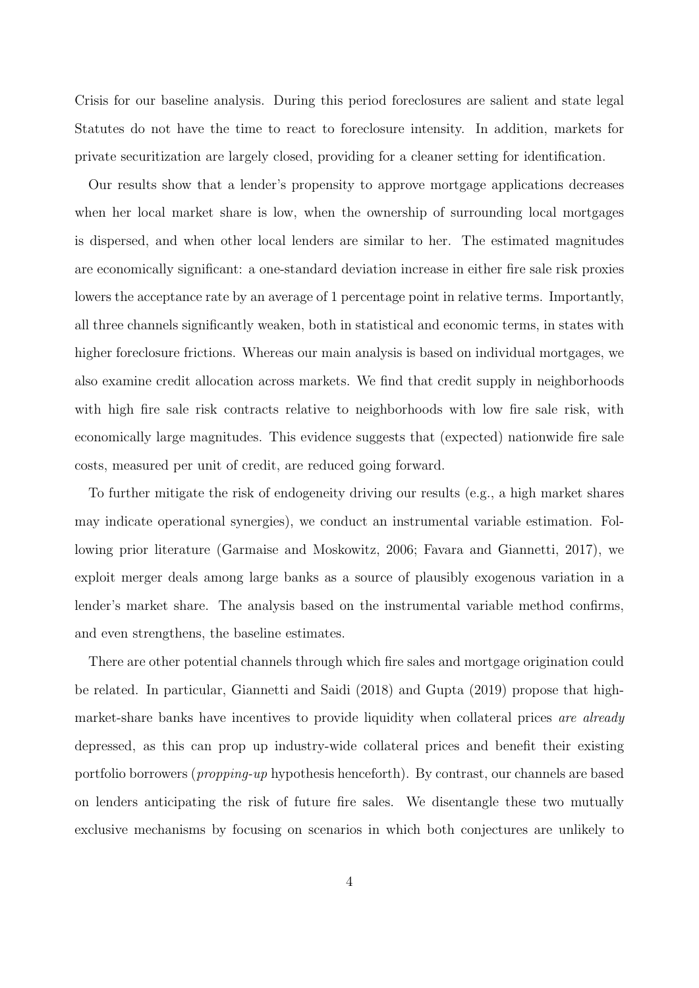Crisis for our baseline analysis. During this period foreclosures are salient and state legal Statutes do not have the time to react to foreclosure intensity. In addition, markets for private securitization are largely closed, providing for a cleaner setting for identification.

Our results show that a lender's propensity to approve mortgage applications decreases when her local market share is low, when the ownership of surrounding local mortgages is dispersed, and when other local lenders are similar to her. The estimated magnitudes are economically significant: a one-standard deviation increase in either fire sale risk proxies lowers the acceptance rate by an average of 1 percentage point in relative terms. Importantly, all three channels significantly weaken, both in statistical and economic terms, in states with higher foreclosure frictions. Whereas our main analysis is based on individual mortgages, we also examine credit allocation across markets. We find that credit supply in neighborhoods with high fire sale risk contracts relative to neighborhoods with low fire sale risk, with economically large magnitudes. This evidence suggests that (expected) nationwide fire sale costs, measured per unit of credit, are reduced going forward.

To further mitigate the risk of endogeneity driving our results (e.g., a high market shares may indicate operational synergies), we conduct an instrumental variable estimation. Following prior literature [\(Garmaise and Moskowitz, 2006;](#page-28-2) [Favara and Giannetti, 2017\)](#page-28-0), we exploit merger deals among large banks as a source of plausibly exogenous variation in a lender's market share. The analysis based on the instrumental variable method confirms, and even strengthens, the baseline estimates.

There are other potential channels through which fire sales and mortgage origination could be related. In particular, [Giannetti and Saidi](#page-28-3) [\(2018\)](#page-28-3) and [Gupta](#page-28-4) [\(2019\)](#page-28-4) propose that highmarket-share banks have incentives to provide liquidity when collateral prices are already depressed, as this can prop up industry-wide collateral prices and benefit their existing portfolio borrowers (propping-up hypothesis henceforth). By contrast, our channels are based on lenders anticipating the risk of future fire sales. We disentangle these two mutually exclusive mechanisms by focusing on scenarios in which both conjectures are unlikely to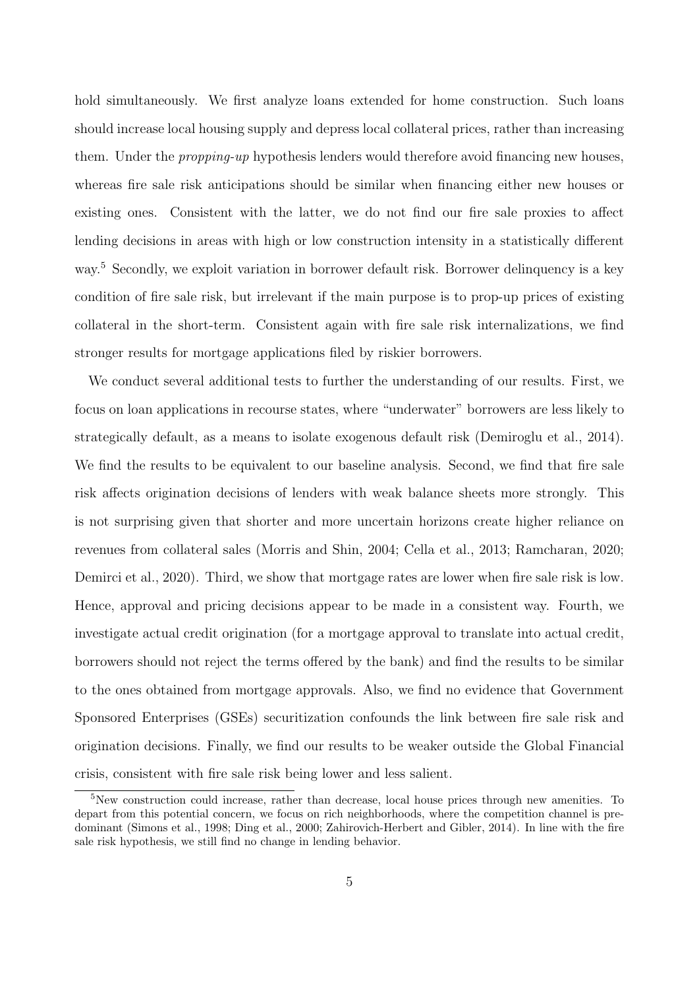hold simultaneously. We first analyze loans extended for home construction. Such loans should increase local housing supply and depress local collateral prices, rather than increasing them. Under the *propping-up* hypothesis lenders would therefore avoid financing new houses, whereas fire sale risk anticipations should be similar when financing either new houses or existing ones. Consistent with the latter, we do not find our fire sale proxies to affect lending decisions in areas with high or low construction intensity in a statistically different way.[5](#page-4-0) Secondly, we exploit variation in borrower default risk. Borrower delinquency is a key condition of fire sale risk, but irrelevant if the main purpose is to prop-up prices of existing collateral in the short-term. Consistent again with fire sale risk internalizations, we find stronger results for mortgage applications filed by riskier borrowers.

We conduct several additional tests to further the understanding of our results. First, we focus on loan applications in recourse states, where "underwater" borrowers are less likely to strategically default, as a means to isolate exogenous default risk [\(Demiroglu et al., 2014\)](#page-28-5). We find the results to be equivalent to our baseline analysis. Second, we find that fire sale risk affects origination decisions of lenders with weak balance sheets more strongly. This is not surprising given that shorter and more uncertain horizons create higher reliance on revenues from collateral sales [\(Morris and Shin, 2004;](#page-29-7) [Cella et al., 2013;](#page-27-3) [Ramcharan, 2020;](#page-29-3) [Demirci et al., 2020\)](#page-28-6). Third, we show that mortgage rates are lower when fire sale risk is low. Hence, approval and pricing decisions appear to be made in a consistent way. Fourth, we investigate actual credit origination (for a mortgage approval to translate into actual credit, borrowers should not reject the terms offered by the bank) and find the results to be similar to the ones obtained from mortgage approvals. Also, we find no evidence that Government Sponsored Enterprises (GSEs) securitization confounds the link between fire sale risk and origination decisions. Finally, we find our results to be weaker outside the Global Financial crisis, consistent with fire sale risk being lower and less salient.

<span id="page-4-0"></span><sup>&</sup>lt;sup>5</sup>New construction could increase, rather than decrease, local house prices through new amenities. To depart from this potential concern, we focus on rich neighborhoods, where the competition channel is predominant [\(Simons et al., 1998;](#page-30-2) [Ding et al., 2000;](#page-28-7) [Zahirovich-Herbert and Gibler, 2014\)](#page-30-3). In line with the fire sale risk hypothesis, we still find no change in lending behavior.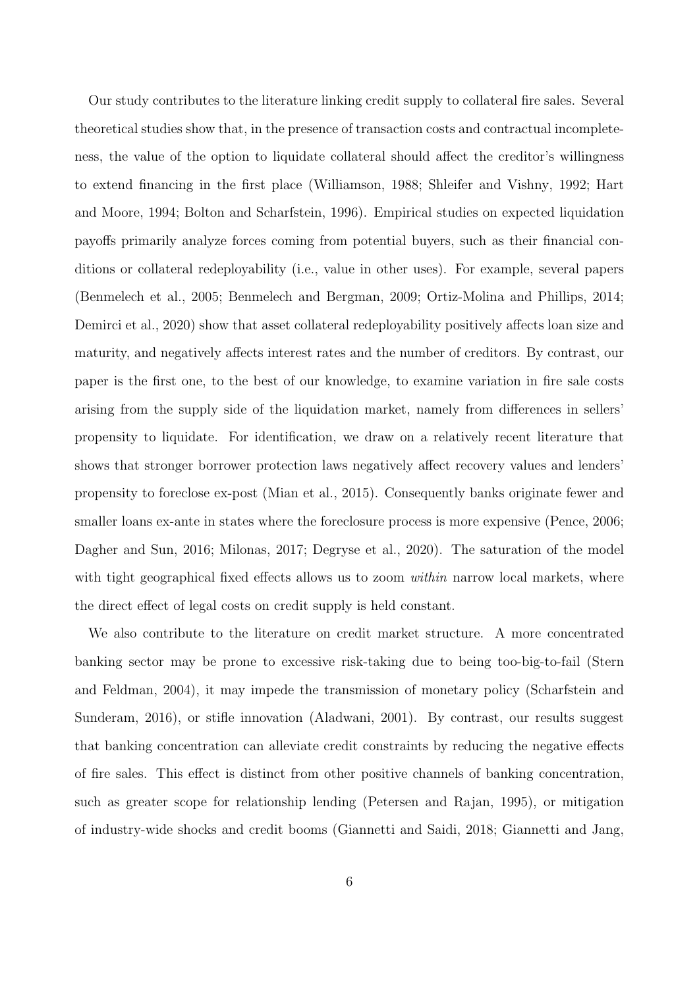Our study contributes to the literature linking credit supply to collateral fire sales. Several theoretical studies show that, in the presence of transaction costs and contractual incompleteness, the value of the option to liquidate collateral should affect the creditor's willingness to extend financing in the first place [\(Williamson, 1988;](#page-30-4) [Shleifer and Vishny, 1992;](#page-30-0) [Hart](#page-28-8) [and Moore, 1994;](#page-28-8) [Bolton and Scharfstein, 1996\)](#page-27-4). Empirical studies on expected liquidation payoffs primarily analyze forces coming from potential buyers, such as their financial conditions or collateral redeployability (i.e., value in other uses). For example, several papers [\(Benmelech et al., 2005;](#page-27-5) [Benmelech and Bergman, 2009;](#page-27-6) [Ortiz-Molina and Phillips, 2014;](#page-29-8) [Demirci et al., 2020\)](#page-28-6) show that asset collateral redeployability positively affects loan size and maturity, and negatively affects interest rates and the number of creditors. By contrast, our paper is the first one, to the best of our knowledge, to examine variation in fire sale costs arising from the supply side of the liquidation market, namely from differences in sellers' propensity to liquidate. For identification, we draw on a relatively recent literature that shows that stronger borrower protection laws negatively affect recovery values and lenders' propensity to foreclose ex-post [\(Mian et al., 2015\)](#page-29-6). Consequently banks originate fewer and smaller loans ex-ante in states where the foreclosure process is more expensive [\(Pence, 2006;](#page-29-9) [Dagher and Sun, 2016;](#page-27-7) [Milonas, 2017;](#page-29-10) [Degryse et al., 2020\)](#page-27-8). The saturation of the model with tight geographical fixed effects allows us to zoom *within* narrow local markets, where the direct effect of legal costs on credit supply is held constant.

We also contribute to the literature on credit market structure. A more concentrated banking sector may be prone to excessive risk-taking due to being too-big-to-fail [\(Stern](#page-30-5) [and Feldman, 2004\)](#page-30-5), it may impede the transmission of monetary policy [\(Scharfstein and](#page-29-11) [Sunderam, 2016\)](#page-29-11), or stifle innovation [\(Aladwani, 2001\)](#page-27-9). By contrast, our results suggest that banking concentration can alleviate credit constraints by reducing the negative effects of fire sales. This effect is distinct from other positive channels of banking concentration, such as greater scope for relationship lending [\(Petersen and Rajan, 1995\)](#page-29-12), or mitigation of industry-wide shocks and credit booms [\(Giannetti and Saidi, 2018;](#page-28-3) [Giannetti and Jang,](#page-28-9)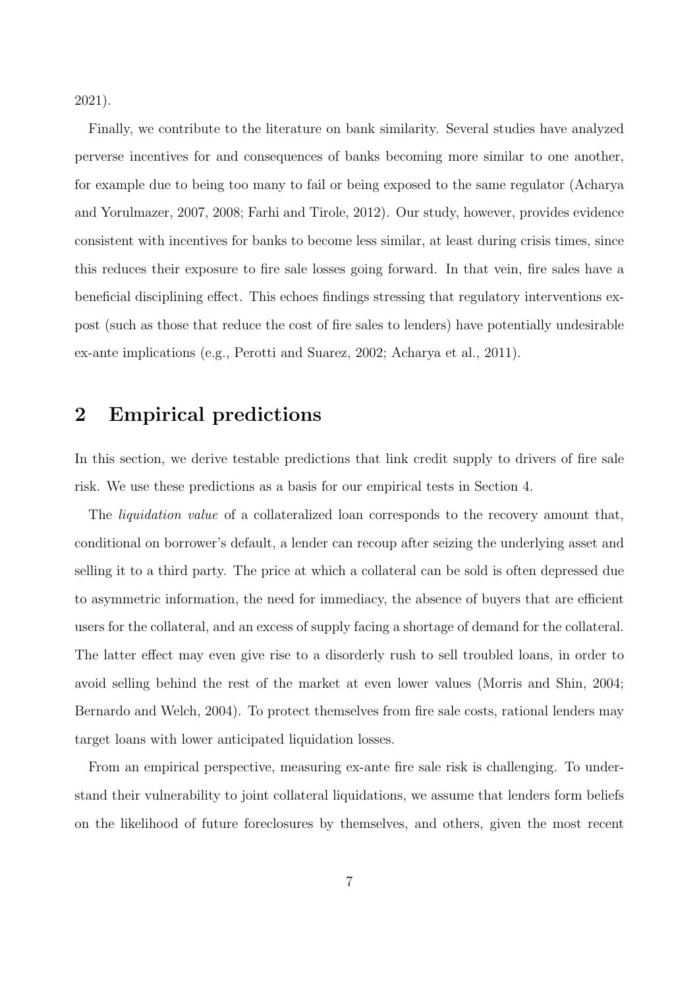[2021\)](#page-28-9).

Finally, we contribute to the literature on bank similarity. Several studies have analyzed perverse incentives for and consequences of banks becoming more similar to one another, for example due to being too many to fail or being exposed to the same regulator [\(Acharya](#page-27-10) [and Yorulmazer, 2007,](#page-27-10) [2008;](#page-27-11) [Farhi and Tirole, 2012\)](#page-28-10). Our study, however, provides evidence consistent with incentives for banks to become less similar, at least during crisis times, since this reduces their exposure to fire sale losses going forward. In that vein, fire sales have a beneficial disciplining effect. This echoes findings stressing that regulatory interventions expost (such as those that reduce the cost of fire sales to lenders) have potentially undesirable ex-ante implications (e.g., [Perotti and Suarez, 2002;](#page-29-13) [Acharya et al., 2011\)](#page-27-12).

## 2 Empirical predictions

In this section, we derive testable predictions that link credit supply to drivers of fire sale risk. We use these predictions as a basis for our empirical tests in Section [4.](#page-14-0)

The *liquidation value* of a collateralized loan corresponds to the recovery amount that, conditional on borrower's default, a lender can recoup after seizing the underlying asset and selling it to a third party. The price at which a collateral can be sold is often depressed due to asymmetric information, the need for immediacy, the absence of buyers that are efficient users for the collateral, and an excess of supply facing a shortage of demand for the collateral. The latter effect may even give rise to a disorderly rush to sell troubled loans, in order to avoid selling behind the rest of the market at even lower values [\(Morris and Shin, 2004;](#page-29-7) [Bernardo and Welch, 2004\)](#page-27-0). To protect themselves from fire sale costs, rational lenders may target loans with lower anticipated liquidation losses.

From an empirical perspective, measuring ex-ante fire sale risk is challenging. To understand their vulnerability to joint collateral liquidations, we assume that lenders form beliefs on the likelihood of future foreclosures by themselves, and others, given the most recent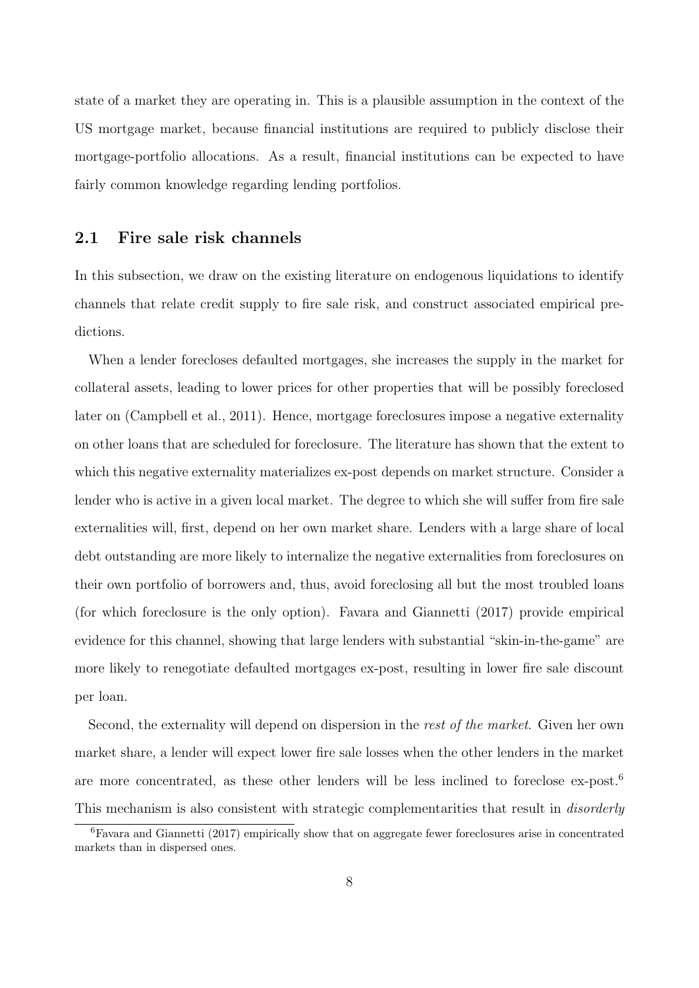state of a market they are operating in. This is a plausible assumption in the context of the US mortgage market, because financial institutions are required to publicly disclose their mortgage-portfolio allocations. As a result, financial institutions can be expected to have fairly common knowledge regarding lending portfolios.

#### <span id="page-7-1"></span>2.1 Fire sale risk channels

In this subsection, we draw on the existing literature on endogenous liquidations to identify channels that relate credit supply to fire sale risk, and construct associated empirical predictions.

When a lender forecloses defaulted mortgages, she increases the supply in the market for collateral assets, leading to lower prices for other properties that will be possibly foreclosed later on [\(Campbell et al., 2011\)](#page-27-1). Hence, mortgage foreclosures impose a negative externality on other loans that are scheduled for foreclosure. The literature has shown that the extent to which this negative externality materializes ex-post depends on market structure. Consider a lender who is active in a given local market. The degree to which she will suffer from fire sale externalities will, first, depend on her own market share. Lenders with a large share of local debt outstanding are more likely to internalize the negative externalities from foreclosures on their own portfolio of borrowers and, thus, avoid foreclosing all but the most troubled loans (for which foreclosure is the only option). [Favara and Giannetti](#page-28-0) [\(2017\)](#page-28-0) provide empirical evidence for this channel, showing that large lenders with substantial "skin-in-the-game" are more likely to renegotiate defaulted mortgages ex-post, resulting in lower fire sale discount per loan.

Second, the externality will depend on dispersion in the rest of the market. Given her own market share, a lender will expect lower fire sale losses when the other lenders in the market are more concentrated, as these other lenders will be less inclined to foreclose ex-post.<sup>[6](#page-7-0)</sup> This mechanism is also consistent with strategic complementarities that result in *disorderly* 

<span id="page-7-0"></span><sup>6</sup>[Favara and Giannetti](#page-28-0) [\(2017\)](#page-28-0) empirically show that on aggregate fewer foreclosures arise in concentrated markets than in dispersed ones.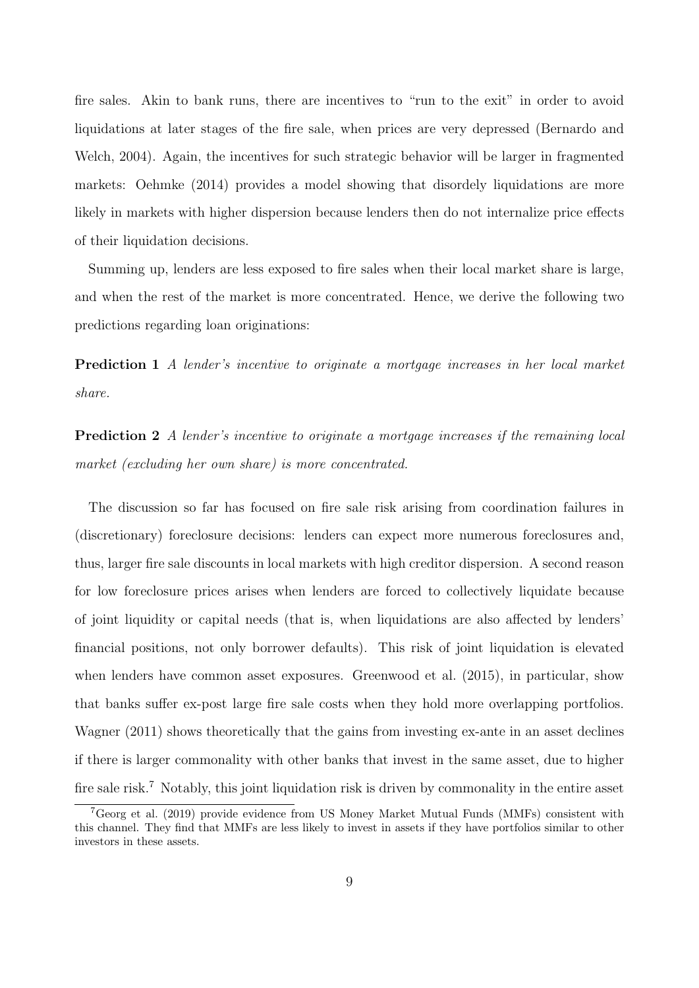fire sales. Akin to bank runs, there are incentives to "run to the exit" in order to avoid liquidations at later stages of the fire sale, when prices are very depressed [\(Bernardo and](#page-27-0) [Welch, 2004\)](#page-27-0). Again, the incentives for such strategic behavior will be larger in fragmented markets: [Oehmke](#page-29-5) [\(2014\)](#page-29-5) provides a model showing that disordely liquidations are more likely in markets with higher dispersion because lenders then do not internalize price effects of their liquidation decisions.

<span id="page-8-1"></span>Summing up, lenders are less exposed to fire sales when their local market share is large, and when the rest of the market is more concentrated. Hence, we derive the following two predictions regarding loan originations:

**Prediction 1** A lender's incentive to originate a mortgage increases in her local market share.

<span id="page-8-2"></span>**Prediction 2** A lender's incentive to originate a mortgage increases if the remaining local market (excluding her own share) is more concentrated.

The discussion so far has focused on fire sale risk arising from coordination failures in (discretionary) foreclosure decisions: lenders can expect more numerous foreclosures and, thus, larger fire sale discounts in local markets with high creditor dispersion. A second reason for low foreclosure prices arises when lenders are forced to collectively liquidate because of joint liquidity or capital needs (that is, when liquidations are also affected by lenders' financial positions, not only borrower defaults). This risk of joint liquidation is elevated when lenders have common asset exposures. [Greenwood et al.](#page-28-11) [\(2015\)](#page-28-11), in particular, show that banks suffer ex-post large fire sale costs when they hold more overlapping portfolios. [Wagner](#page-30-1) [\(2011\)](#page-30-1) shows theoretically that the gains from investing ex-ante in an asset declines if there is larger commonality with other banks that invest in the same asset, due to higher fire sale risk.<sup>[7](#page-8-0)</sup> Notably, this joint liquidation risk is driven by commonality in the entire asset

<span id="page-8-0"></span> $7G\text{eorg et al.}$  [\(2019\)](#page-28-12) provide evidence from US Money Market Mutual Funds (MMFs) consistent with this channel. They find that MMFs are less likely to invest in assets if they have portfolios similar to other investors in these assets.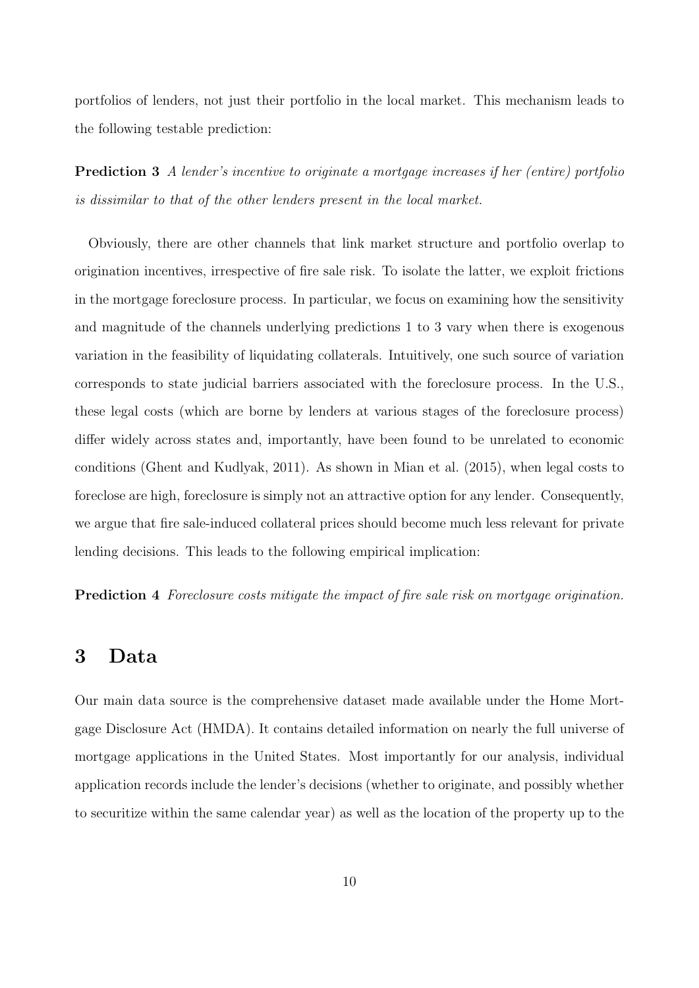portfolios of lenders, not just their portfolio in the local market. This mechanism leads to the following testable prediction:

<span id="page-9-0"></span>Prediction 3 A lender's incentive to originate a mortgage increases if her (entire) portfolio is dissimilar to that of the other lenders present in the local market.

Obviously, there are other channels that link market structure and portfolio overlap to origination incentives, irrespective of fire sale risk. To isolate the latter, we exploit frictions in the mortgage foreclosure process. In particular, we focus on examining how the sensitivity and magnitude of the channels underlying predictions [1](#page-8-1) to [3](#page-9-0) vary when there is exogenous variation in the feasibility of liquidating collaterals. Intuitively, one such source of variation corresponds to state judicial barriers associated with the foreclosure process. In the U.S., these legal costs (which are borne by lenders at various stages of the foreclosure process) differ widely across states and, importantly, have been found to be unrelated to economic conditions [\(Ghent and Kudlyak, 2011\)](#page-28-1). As shown in [Mian et al.](#page-29-6) [\(2015\)](#page-29-6), when legal costs to foreclose are high, foreclosure is simply not an attractive option for any lender. Consequently, we argue that fire sale-induced collateral prices should become much less relevant for private lending decisions. This leads to the following empirical implication:

<span id="page-9-1"></span>**Prediction 4** Foreclosure costs mitigate the impact of fire sale risk on mortgage origination.

### 3 Data

Our main data source is the comprehensive dataset made available under the Home Mortgage Disclosure Act (HMDA). It contains detailed information on nearly the full universe of mortgage applications in the United States. Most importantly for our analysis, individual application records include the lender's decisions (whether to originate, and possibly whether to securitize within the same calendar year) as well as the location of the property up to the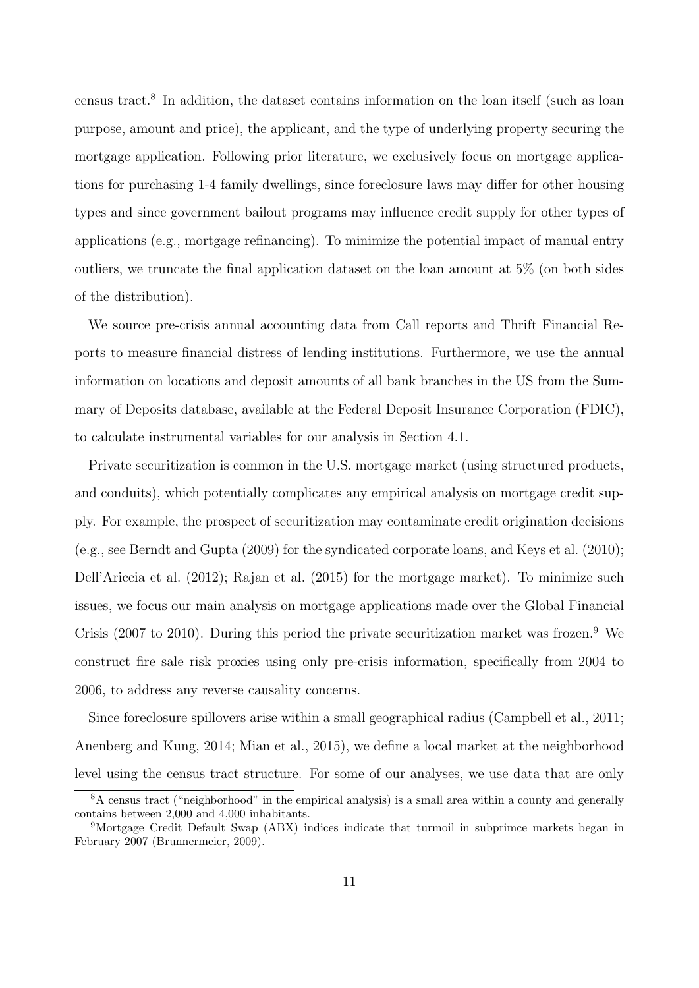census tract.[8](#page-10-0) In addition, the dataset contains information on the loan itself (such as loan purpose, amount and price), the applicant, and the type of underlying property securing the mortgage application. Following prior literature, we exclusively focus on mortgage applications for purchasing 1-4 family dwellings, since foreclosure laws may differ for other housing types and since government bailout programs may influence credit supply for other types of applications (e.g., mortgage refinancing). To minimize the potential impact of manual entry outliers, we truncate the final application dataset on the loan amount at 5% (on both sides of the distribution).

We source pre-crisis annual accounting data from Call reports and Thrift Financial Reports to measure financial distress of lending institutions. Furthermore, we use the annual information on locations and deposit amounts of all bank branches in the US from the Summary of Deposits database, available at the Federal Deposit Insurance Corporation (FDIC), to calculate instrumental variables for our analysis in Section [4.1.](#page-17-0)

Private securitization is common in the U.S. mortgage market (using structured products, and conduits), which potentially complicates any empirical analysis on mortgage credit supply. For example, the prospect of securitization may contaminate credit origination decisions (e.g., see [Berndt and Gupta](#page-27-13) [\(2009\)](#page-27-13) for the syndicated corporate loans, and [Keys et al.](#page-29-14) [\(2010\)](#page-29-14); [Dell'Ariccia et al.](#page-27-14) [\(2012\)](#page-27-14); [Rajan et al.](#page-29-15) [\(2015\)](#page-29-15) for the mortgage market). To minimize such issues, we focus our main analysis on mortgage applications made over the Global Financial Crisis (2007 to 2010). During this period the private securitization market was frozen.<sup>[9](#page-10-1)</sup> We construct fire sale risk proxies using only pre-crisis information, specifically from 2004 to 2006, to address any reverse causality concerns.

Since foreclosure spillovers arise within a small geographical radius [\(Campbell et al., 2011;](#page-27-1) [Anenberg and Kung, 2014;](#page-27-2) [Mian et al., 2015\)](#page-29-6), we define a local market at the neighborhood level using the census tract structure. For some of our analyses, we use data that are only

<span id="page-10-0"></span><sup>8</sup>A census tract ("neighborhood" in the empirical analysis) is a small area within a county and generally contains between 2,000 and 4,000 inhabitants.

<span id="page-10-1"></span><sup>&</sup>lt;sup>9</sup>Mortgage Credit Default Swap (ABX) indices indicate that turmoil in subprimce markets began in February 2007 [\(Brunnermeier, 2009\)](#page-27-15).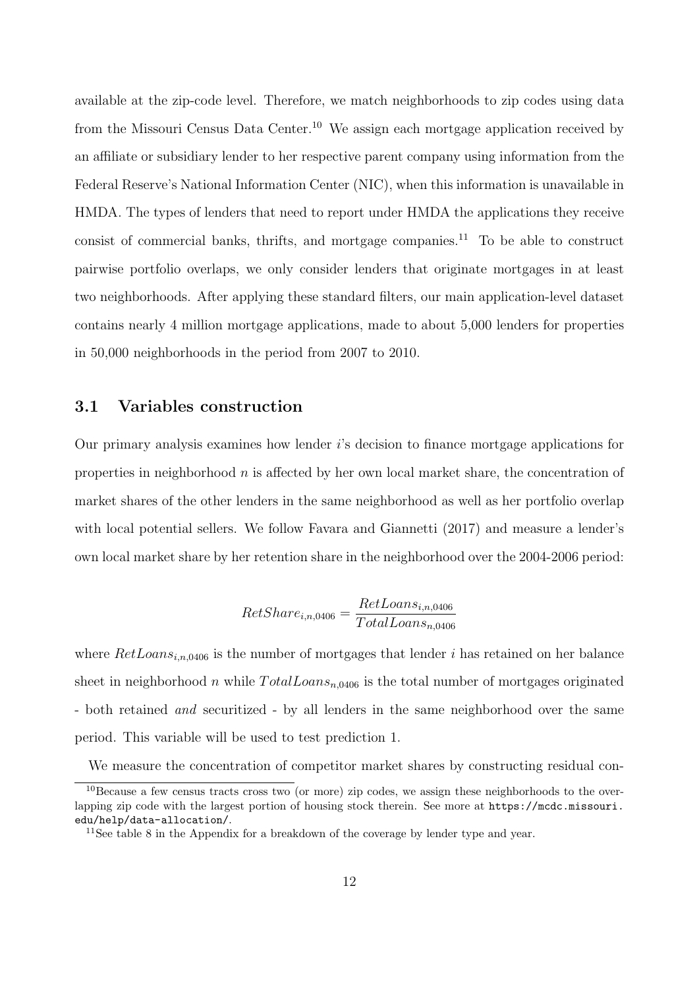available at the zip-code level. Therefore, we match neighborhoods to zip codes using data from the Missouri Census Data Center.<sup>[10](#page-11-0)</sup> We assign each mortgage application received by an affiliate or subsidiary lender to her respective parent company using information from the Federal Reserve's National Information Center (NIC), when this information is unavailable in HMDA. The types of lenders that need to report under HMDA the applications they receive consist of commercial banks, thrifts, and mortgage companies.<sup>[11](#page-11-1)</sup> To be able to construct pairwise portfolio overlaps, we only consider lenders that originate mortgages in at least two neighborhoods. After applying these standard filters, our main application-level dataset contains nearly 4 million mortgage applications, made to about 5,000 lenders for properties in 50,000 neighborhoods in the period from 2007 to 2010.

#### 3.1 Variables construction

Our primary analysis examines how lender  $i$ 's decision to finance mortgage applications for properties in neighborhood  $n$  is affected by her own local market share, the concentration of market shares of the other lenders in the same neighborhood as well as her portfolio overlap with local potential sellers. We follow [Favara and Giannetti](#page-28-0) [\(2017\)](#page-28-0) and measure a lender's own local market share by her retention share in the neighborhood over the 2004-2006 period:

$$
RetShare_{i,n,0406} = \frac{RetLoans_{i,n,0406}}{TotalLoans_{n,0406}}
$$

where  $RetLoans_{i,n,0406}$  is the number of mortgages that lender i has retained on her balance sheet in neighborhood n while  $TotalLoans_{n,0406}$  is the total number of mortgages originated - both retained *and* securitized - by all lenders in the same neighborhood over the same period. This variable will be used to test prediction [1.](#page-8-1)

We measure the concentration of competitor market shares by constructing residual con-

<span id="page-11-0"></span><sup>10</sup>Because a few census tracts cross two (or more) zip codes, we assign these neighborhoods to the overlapping zip code with the largest portion of housing stock therein. See more at [https://mcdc.missouri.](https://mcdc.missouri.edu/help/data-allocation/) [edu/help/data-allocation/](https://mcdc.missouri.edu/help/data-allocation/).

<span id="page-11-1"></span><sup>&</sup>lt;sup>11</sup>See table [8](#page-40-0) in the Appendix for a breakdown of the coverage by lender type and year.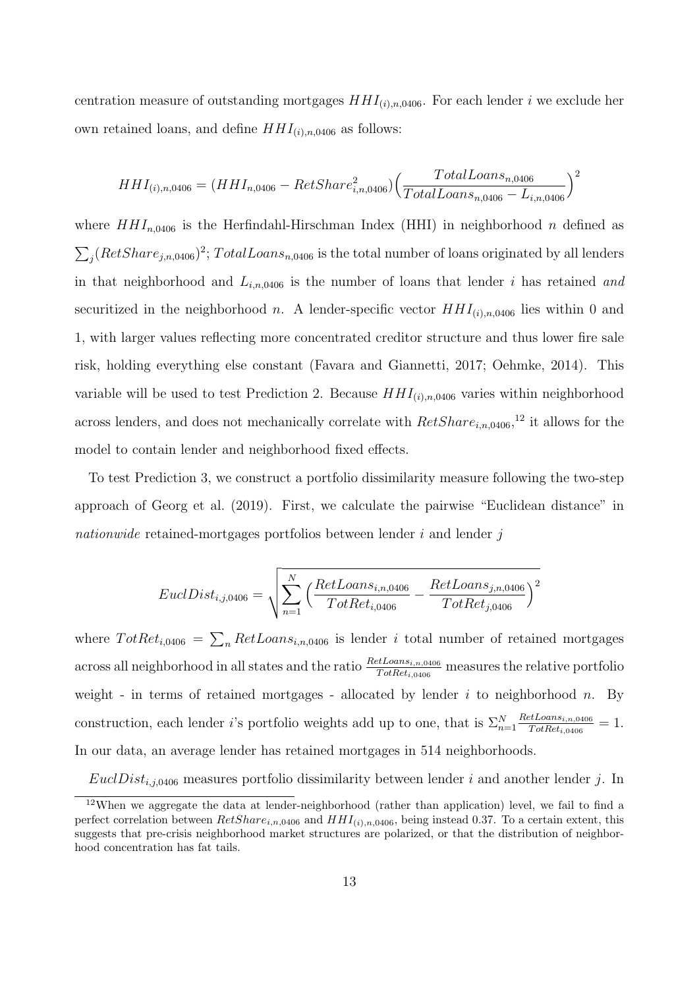centration measure of outstanding mortgages  $HHI_{(i),n,0406}$ . For each lender i we exclude her own retained loans, and define  $HHI_{(i),n,0406}$  as follows:

$$
HHI_{(i),n,0406} = (HHI_{n,0406} - RetShare_{i,n,0406}^2) \left(\frac{TotalLoans_{n,0406}}{TotalLoans_{n,0406} - L_{i,n,0406}}\right)^2
$$

where  $HHI_{n,0406}$  is the Herfindahl-Hirschman Index (HHI) in neighborhood n defined as  $\sum_{j} (RetShare_{j,n,0406})^2$ ;  $TotalLoans_{n,0406}$  is the total number of loans originated by all lenders in that neighborhood and  $L_{i,n,0406}$  is the number of loans that lender i has retained and securitized in the neighborhood n. A lender-specific vector  $HHI_{(i),n,0406}$  lies within 0 and 1, with larger values reflecting more concentrated creditor structure and thus lower fire sale risk, holding everything else constant [\(Favara and Giannetti, 2017;](#page-28-0) [Oehmke, 2014\)](#page-29-5). This variable will be used to test Prediction [2.](#page-8-2) Because  $HHI_{(i),n,0406}$  varies within neighborhood across lenders, and does not mechanically correlate with  $RetShare_{i,n,0406}$ ,<sup>[12](#page-12-0)</sup> it allows for the model to contain lender and neighborhood fixed effects.

To test Prediction [3,](#page-9-0) we construct a portfolio dissimilarity measure following the two-step approach of [Georg et al.](#page-28-12) [\(2019\)](#page-28-12). First, we calculate the pairwise "Euclidean distance" in nationwide retained-mortgages portfolios between lender  $i$  and lender  $j$ 

$$
EuclDist_{i,j,0406} = \sqrt{\sum_{n=1}^{N} \left( \frac{RetLoans_{i,n,0406}}{TotRet_{i,0406}} - \frac{RetLoans_{j,n,0406}}{TotRet_{j,0406}} \right)^2}
$$

where  $TotRet_{i,0406} = \sum_{n} RetLoans_{i,n,0406}$  is lender i total number of retained mortgages across all neighborhood in all states and the ratio  $\frac{RetL oans_{i,n,0406}}{TotRet_{i,0406}}$  measures the relative portfolio weight - in terms of retained mortgages - allocated by lender  $i$  to neighborhood  $n$ . By construction, each lender *i*'s portfolio weights add up to one, that is  $\Sigma_{n=1}^N$  $RetLoans<sub>i,n,0406</sub>$  $\frac{2\pi L oans_{i,n,0406}}{TotRet_{i,0406}} = 1.$ In our data, an average lender has retained mortgages in 514 neighborhoods.

 $EuclDist_{i,j,0406}$  measures portfolio dissimilarity between lender i and another lender j. In

<span id="page-12-0"></span><sup>12</sup>When we aggregate the data at lender-neighborhood (rather than application) level, we fail to find a perfect correlation between  $RetShare_{i,n,0406}$  and  $HHI_{(i),n,0406}$ , being instead 0.37. To a certain extent, this suggests that pre-crisis neighborhood market structures are polarized, or that the distribution of neighborhood concentration has fat tails.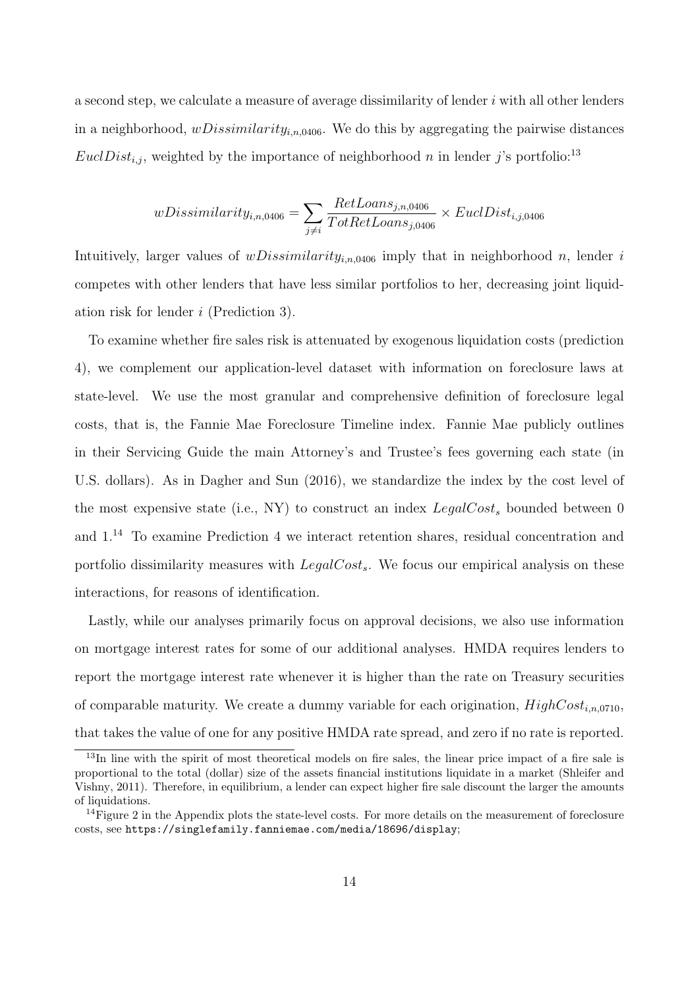a second step, we calculate a measure of average dissimilarity of lender  $i$  with all other lenders in a neighborhood,  $wDissimilarity_{i,n,0406}$ . We do this by aggregating the pairwise distances EuclDist<sub>i,j</sub>, weighted by the importance of neighborhood n in lender j's portfolio:<sup>[13](#page-13-0)</sup>

$$
wDissimilarity_{i,n,0406} = \sum_{j \neq i} \frac{RetLoans_{j,n,0406}}{TotRetLoans_{j,0406}} \times EuclDist_{i,j,0406}
$$

Intuitively, larger values of  $wDissimilarity_{i,n,0406}$  imply that in neighborhood n, lender i competes with other lenders that have less similar portfolios to her, decreasing joint liquidation risk for lender i (Prediction [3\)](#page-9-0).

To examine whether fire sales risk is attenuated by exogenous liquidation costs (prediction [4\)](#page-9-1), we complement our application-level dataset with information on foreclosure laws at state-level. We use the most granular and comprehensive definition of foreclosure legal costs, that is, the Fannie Mae Foreclosure Timeline index. Fannie Mae publicly outlines in their Servicing Guide the main Attorney's and Trustee's fees governing each state (in U.S. dollars). As in [Dagher and Sun](#page-27-7) [\(2016\)](#page-27-7), we standardize the index by the cost level of the most expensive state (i.e., NY) to construct an index  $LegalCost<sub>s</sub>$  bounded between 0 and 1.[14](#page-13-1) To examine Prediction [4](#page-9-1) we interact retention shares, residual concentration and portfolio dissimilarity measures with  $LegalCost_s$ . We focus our empirical analysis on these interactions, for reasons of identification.

Lastly, while our analyses primarily focus on approval decisions, we also use information on mortgage interest rates for some of our additional analyses. HMDA requires lenders to report the mortgage interest rate whenever it is higher than the rate on Treasury securities of comparable maturity. We create a dummy variable for each origination,  $HighCost_{i,n,0710}$ , that takes the value of one for any positive HMDA rate spread, and zero if no rate is reported.

<span id="page-13-0"></span><sup>&</sup>lt;sup>13</sup>In line with the spirit of most theoretical models on fire sales, the linear price impact of a fire sale is proportional to the total (dollar) size of the assets financial institutions liquidate in a market [\(Shleifer and](#page-29-4) [Vishny, 2011\)](#page-29-4). Therefore, in equilibrium, a lender can expect higher fire sale discount the larger the amounts of liquidations.

<span id="page-13-1"></span><sup>&</sup>lt;sup>14</sup>Figure [2](#page-38-0) in the Appendix plots the state-level costs. For more details on the measurement of foreclosure costs, see <https://singlefamily.fanniemae.com/media/18696/display>;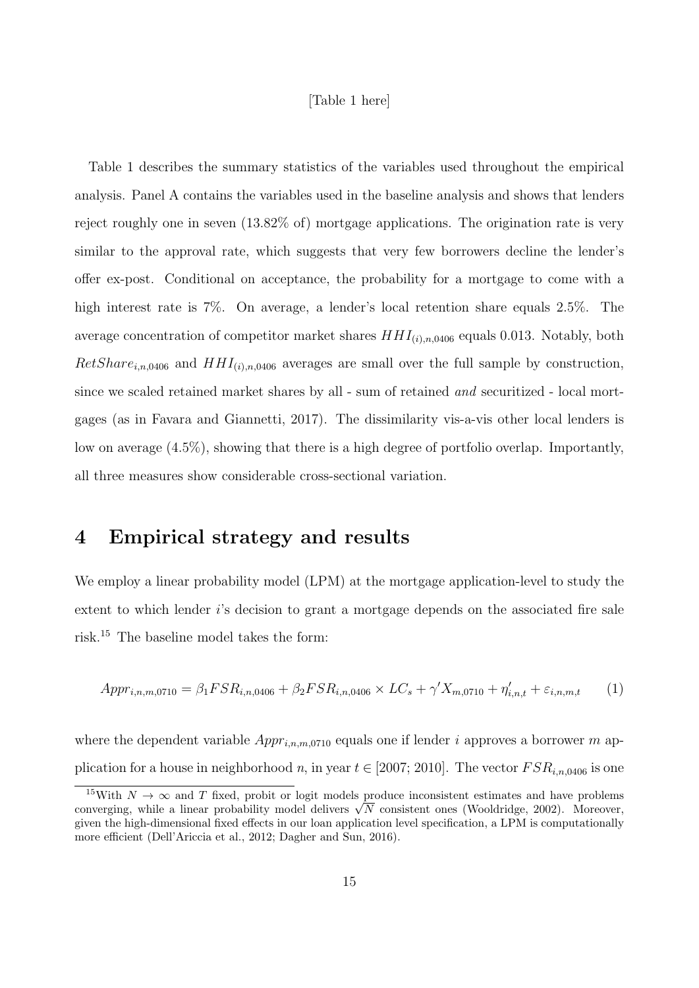#### [Table [1](#page-31-0) here]

Table [1](#page-31-0) describes the summary statistics of the variables used throughout the empirical analysis. Panel A contains the variables used in the baseline analysis and shows that lenders reject roughly one in seven (13.82% of) mortgage applications. The origination rate is very similar to the approval rate, which suggests that very few borrowers decline the lender's offer ex-post. Conditional on acceptance, the probability for a mortgage to come with a high interest rate is 7%. On average, a lender's local retention share equals 2.5%. The average concentration of competitor market shares  $HHI_{(i),n,0406}$  equals 0.013. Notably, both  $RetShare_{i,n,0406}$  and  $HHI_{(i),n,0406}$  averages are small over the full sample by construction, since we scaled retained market shares by all - sum of retained *and* securitized - local mortgages (as in [Favara and Giannetti, 2017\)](#page-28-0). The dissimilarity vis-a-vis other local lenders is low on average (4.5%), showing that there is a high degree of portfolio overlap. Importantly, all three measures show considerable cross-sectional variation.

## <span id="page-14-0"></span>4 Empirical strategy and results

We employ a linear probability model (LPM) at the mortgage application-level to study the extent to which lender i's decision to grant a mortgage depends on the associated fire sale risk.[15](#page-14-1) The baseline model takes the form:

<span id="page-14-2"></span>
$$
Appr_{i,n,m,0710} = \beta_1 FSR_{i,n,0406} + \beta_2 FSR_{i,n,0406} \times LC_s + \gamma' X_{m,0710} + \eta'_{i,n,t} + \varepsilon_{i,n,m,t} \tag{1}
$$

where the dependent variable  $Appr_{i,n,m,0710}$  equals one if lender i approves a borrower m application for a house in neighborhood n, in year  $t \in [2007; 2010]$ . The vector  $FSR_{i,n,0406}$  is one

<span id="page-14-1"></span><sup>&</sup>lt;sup>15</sup>With  $N \to \infty$  and T fixed, probit or logit models produce inconsistent estimates and have problems <sup>2</sup> With  $N \to \infty$  and *I* fixed, probit or logit models produce inconsistent estimates and have problems converging, while a linear probability model delivers  $\sqrt{N}$  consistent ones [\(Wooldridge, 2002\)](#page-30-6). Moreover, given the high-dimensional fixed effects in our loan application level specification, a LPM is computationally more efficient [\(Dell'Ariccia et al., 2012;](#page-27-14) [Dagher and Sun, 2016\)](#page-27-7).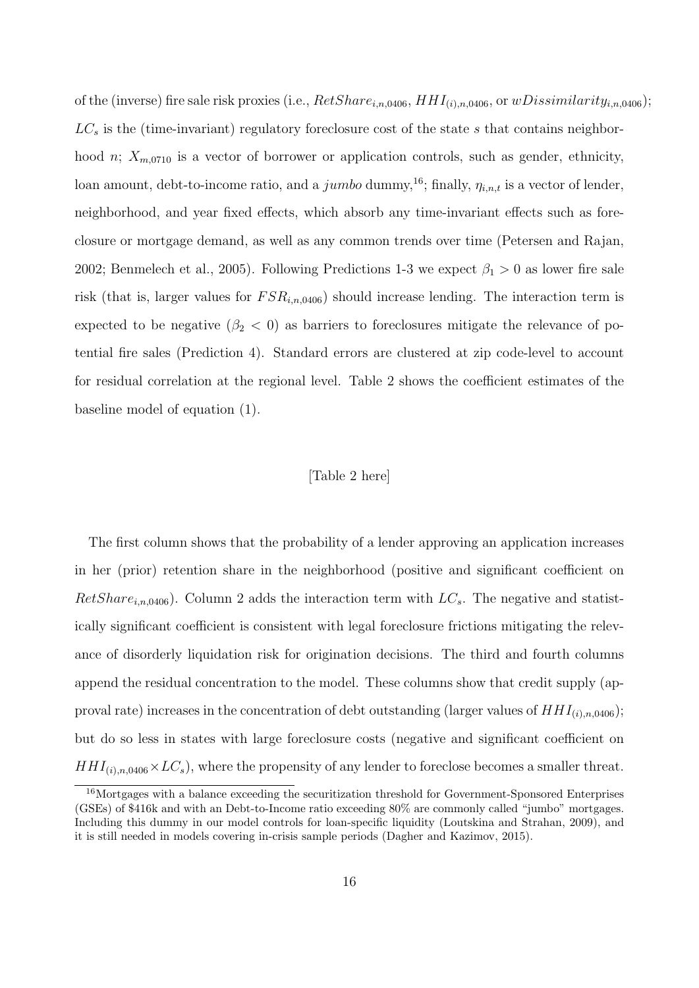of the (inverse) fire sale risk proxies (i.e.,  $RetShare_{i,n,0406}$ ,  $HHI_{(i),n,0406}$ , or  $wDissimilarity_{i,n,0406})$ ;  $LC_s$  is the (time-invariant) regulatory foreclosure cost of the state s that contains neighborhood *n*;  $X_{m,0710}$  is a vector of borrower or application controls, such as gender, ethnicity, loan amount, debt-to-income ratio, and a jumbo dummy,<sup>[16](#page-15-0)</sup>; finally,  $\eta_{i,n,t}$  is a vector of lender, neighborhood, and year fixed effects, which absorb any time-invariant effects such as foreclosure or mortgage demand, as well as any common trends over time [\(Petersen and Rajan,](#page-29-16) [2002;](#page-29-16) [Benmelech et al., 2005\)](#page-27-5). Following Predictions 1-3 we expect  $\beta_1 > 0$  as lower fire sale risk (that is, larger values for  $FSR_{i,n,0406}$ ) should increase lending. The interaction term is expected to be negative  $(\beta_2 < 0)$  as barriers to foreclosures mitigate the relevance of potential fire sales (Prediction [4\)](#page-9-1). Standard errors are clustered at zip code-level to account for residual correlation at the regional level. Table [2](#page-32-0) shows the coefficient estimates of the baseline model of equation [\(1\)](#page-14-2).

#### [Table [2](#page-32-0) here]

The first column shows that the probability of a lender approving an application increases in her (prior) retention share in the neighborhood (positive and significant coefficient on  $RetShare_{i,n,0406})$ . Column 2 adds the interaction term with  $LC_s$ . The negative and statistically significant coefficient is consistent with legal foreclosure frictions mitigating the relevance of disorderly liquidation risk for origination decisions. The third and fourth columns append the residual concentration to the model. These columns show that credit supply (approval rate) increases in the concentration of debt outstanding (larger values of  $HHI_{(i),n,0406}$ ); but do so less in states with large foreclosure costs (negative and significant coefficient on  $HHI_{(i),n,0406}\times LC_s$ , where the propensity of any lender to foreclose becomes a smaller threat.

<span id="page-15-0"></span><sup>&</sup>lt;sup>16</sup>Mortgages with a balance exceeding the securitization threshold for Government-Sponsored Enterprises (GSEs) of \$416k and with an Debt-to-Income ratio exceeding 80% are commonly called "jumbo" mortgages. Including this dummy in our model controls for loan-specific liquidity [\(Loutskina and Strahan, 2009\)](#page-29-17), and it is still needed in models covering in-crisis sample periods [\(Dagher and Kazimov, 2015\)](#page-27-16).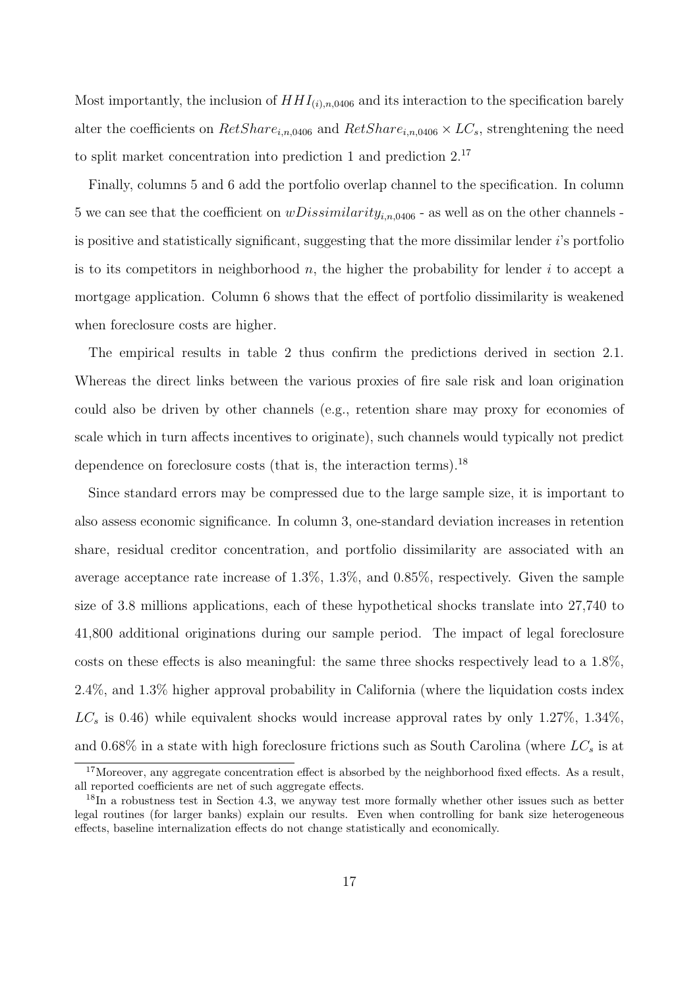Most importantly, the inclusion of  $HHI_{(i),n,0406}$  and its interaction to the specification barely alter the coefficients on  $RetShare_{i,n,0406}$  and  $RetShare_{i,n,0406} \times LC_s$ , strenghtening the need to split market concentration into prediction [1](#page-8-1) and prediction [2.](#page-8-2)[17](#page-16-0)

Finally, columns 5 and 6 add the portfolio overlap channel to the specification. In column 5 we can see that the coefficient on  $wDissimilarity_{i,n,0406}$  - as well as on the other channels is positive and statistically significant, suggesting that the more dissimilar lender  $i$ 's portfolio is to its competitors in neighborhood  $n$ , the higher the probability for lender i to accept a mortgage application. Column 6 shows that the effect of portfolio dissimilarity is weakened when foreclosure costs are higher.

The empirical results in table [2](#page-32-0) thus confirm the predictions derived in section [2.1.](#page-7-1) Whereas the direct links between the various proxies of fire sale risk and loan origination could also be driven by other channels (e.g., retention share may proxy for economies of scale which in turn affects incentives to originate), such channels would typically not predict dependence on foreclosure costs (that is, the interaction terms).<sup>[18](#page-16-1)</sup>

Since standard errors may be compressed due to the large sample size, it is important to also assess economic significance. In column 3, one-standard deviation increases in retention share, residual creditor concentration, and portfolio dissimilarity are associated with an average acceptance rate increase of 1.3%, 1.3%, and 0.85%, respectively. Given the sample size of 3.8 millions applications, each of these hypothetical shocks translate into 27,740 to 41,800 additional originations during our sample period. The impact of legal foreclosure costs on these effects is also meaningful: the same three shocks respectively lead to a 1.8%, 2.4%, and 1.3% higher approval probability in California (where the liquidation costs index  $LC_s$  is 0.46) while equivalent shocks would increase approval rates by only 1.27%, 1.34%, and 0.68% in a state with high foreclosure frictions such as South Carolina (where  $LC_s$  is at

<span id="page-16-0"></span> $17$ Moreover, any aggregate concentration effect is absorbed by the neighborhood fixed effects. As a result, all reported coefficients are net of such aggregate effects.

<span id="page-16-1"></span><sup>&</sup>lt;sup>18</sup>In a robustness test in Section [4.3,](#page-22-0) we anyway test more formally whether other issues such as better legal routines (for larger banks) explain our results. Even when controlling for bank size heterogeneous effects, baseline internalization effects do not change statistically and economically.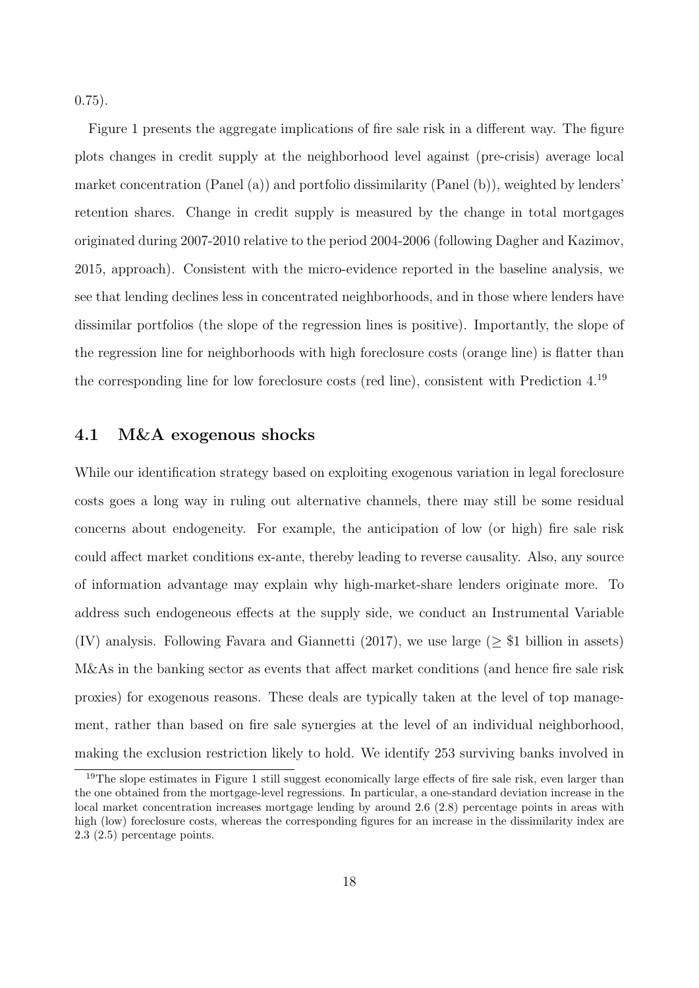$(0.75)$ .

Figure [1](#page-37-0) presents the aggregate implications of fire sale risk in a different way. The figure plots changes in credit supply at the neighborhood level against (pre-crisis) average local market concentration (Panel (a)) and portfolio dissimilarity (Panel (b)), weighted by lenders' retention shares. Change in credit supply is measured by the change in total mortgages originated during 2007-2010 relative to the period 2004-2006 (following [Dagher and Kazimov,](#page-27-16) [2015,](#page-27-16) approach). Consistent with the micro-evidence reported in the baseline analysis, we see that lending declines less in concentrated neighborhoods, and in those where lenders have dissimilar portfolios (the slope of the regression lines is positive). Importantly, the slope of the regression line for neighborhoods with high foreclosure costs (orange line) is flatter than the corresponding line for low foreclosure costs (red line), consistent with Prediction 4.[19](#page-17-1)

#### <span id="page-17-0"></span>4.1 M&A exogenous shocks

While our identification strategy based on exploiting exogenous variation in legal foreclosure costs goes a long way in ruling out alternative channels, there may still be some residual concerns about endogeneity. For example, the anticipation of low (or high) fire sale risk could affect market conditions ex-ante, thereby leading to reverse causality. Also, any source of information advantage may explain why high-market-share lenders originate more. To address such endogeneous effects at the supply side, we conduct an Instrumental Variable (IV) analysis. Following [Favara and Giannetti](#page-28-0) [\(2017\)](#page-28-0), we use large ( $\geq$  \$1 billion in assets) M&As in the banking sector as events that affect market conditions (and hence fire sale risk proxies) for exogenous reasons. These deals are typically taken at the level of top management, rather than based on fire sale synergies at the level of an individual neighborhood, making the exclusion restriction likely to hold. We identify 253 surviving banks involved in

<span id="page-17-1"></span><sup>&</sup>lt;sup>19</sup>The slope estimates in Figure [1](#page-37-0) still suggest economically large effects of fire sale risk, even larger than the one obtained from the mortgage-level regressions. In particular, a one-standard deviation increase in the local market concentration increases mortgage lending by around 2.6 (2.8) percentage points in areas with high (low) foreclosure costs, whereas the corresponding figures for an increase in the dissimilarity index are 2.3 (2.5) percentage points.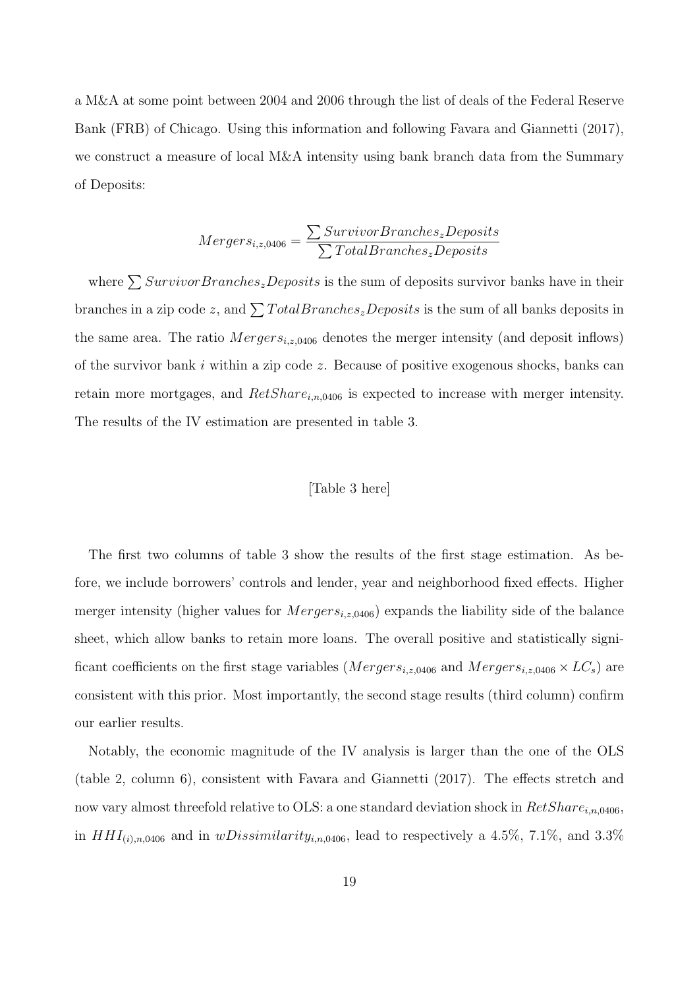a M&A at some point between 2004 and 2006 through the list of deals of the Federal Reserve Bank (FRB) of Chicago. Using this information and following [Favara and Giannetti](#page-28-0) [\(2017\)](#page-28-0), we construct a measure of local M&A intensity using bank branch data from the Summary of Deposits:

$$
Mergers_{i,z,0406} = \frac{\sum SurveyBranches_zDeposits}{\sum TotalBranches_zDeposits}
$$

where  $\sum SurvivorBranches_zDeposits$  is the sum of deposits survivor banks have in their branches in a zip code z, and  $\sum TotalBranches_zDeposits$  is the sum of all banks deposits in the same area. The ratio  $Mergers_{i,z,0406}$  denotes the merger intensity (and deposit inflows) of the survivor bank  $i$  within a zip code  $z$ . Because of positive exogenous shocks, banks can retain more mortgages, and  $RetShare_{i,n,0406}$  is expected to increase with merger intensity. The results of the IV estimation are presented in table [3.](#page-33-0)

#### [Table [3](#page-33-0) here]

The first two columns of table [3](#page-33-0) show the results of the first stage estimation. As before, we include borrowers' controls and lender, year and neighborhood fixed effects. Higher merger intensity (higher values for  $Mergers_{i,z,0406}$ ) expands the liability side of the balance sheet, which allow banks to retain more loans. The overall positive and statistically significant coefficients on the first stage variables ( $Mergers_{i,z,0406}$  and  $Mergers_{i,z,0406} \times LC_s$ ) are consistent with this prior. Most importantly, the second stage results (third column) confirm our earlier results.

Notably, the economic magnitude of the IV analysis is larger than the one of the OLS (table [2,](#page-32-0) column 6), consistent with [Favara and Giannetti](#page-28-0) [\(2017\)](#page-28-0). The effects stretch and now vary almost threefold relative to OLS: a one standard deviation shock in  $RetShare_{i,n,0406}$ , in  $HHI_{(i),n,0406}$  and in  $wDissimilarity_{i,n,0406}$ , lead to respectively a 4.5%, 7.1%, and 3.3%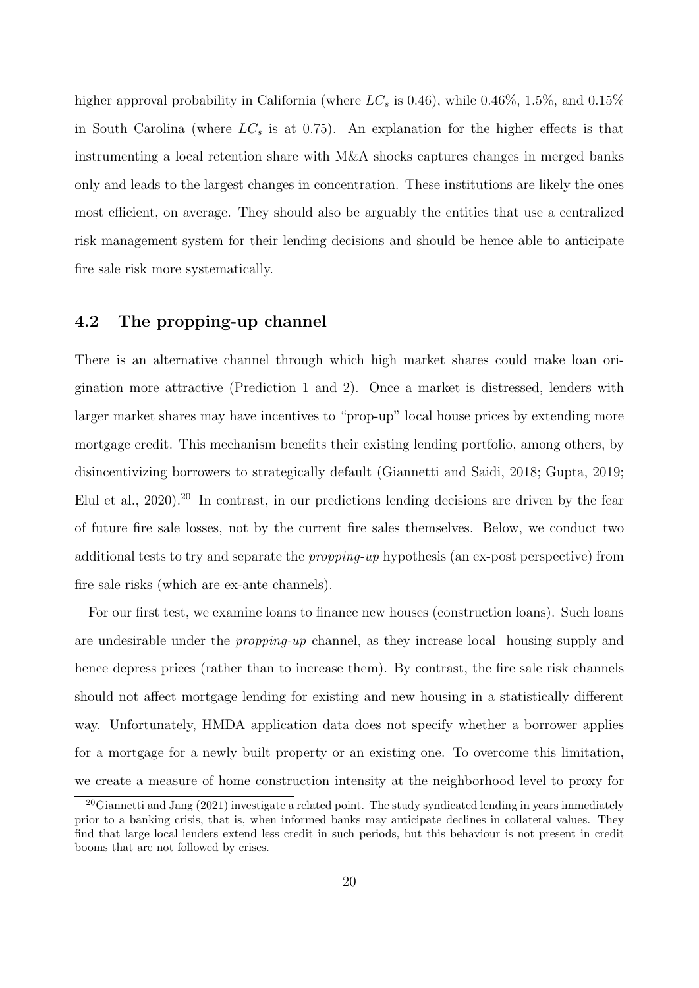higher approval probability in California (where  $LC_s$  is 0.46), while 0.46\%, 1.5\%, and 0.15\% in South Carolina (where  $LC_s$  is at 0.75). An explanation for the higher effects is that instrumenting a local retention share with M&A shocks captures changes in merged banks only and leads to the largest changes in concentration. These institutions are likely the ones most efficient, on average. They should also be arguably the entities that use a centralized risk management system for their lending decisions and should be hence able to anticipate fire sale risk more systematically.

#### 4.2 The propping-up channel

There is an alternative channel through which high market shares could make loan origination more attractive (Prediction 1 and 2). Once a market is distressed, lenders with larger market shares may have incentives to "prop-up" local house prices by extending more mortgage credit. This mechanism benefits their existing lending portfolio, among others, by disincentivizing borrowers to strategically default [\(Giannetti and Saidi, 2018;](#page-28-3) [Gupta, 2019;](#page-28-4) [Elul et al., 2020\)](#page-28-13).[20](#page-19-0) In contrast, in our predictions lending decisions are driven by the fear of future fire sale losses, not by the current fire sales themselves. Below, we conduct two additional tests to try and separate the propping-up hypothesis (an ex-post perspective) from fire sale risks (which are ex-ante channels).

For our first test, we examine loans to finance new houses (construction loans). Such loans are undesirable under the propping-up channel, as they increase local housing supply and hence depress prices (rather than to increase them). By contrast, the fire sale risk channels should not affect mortgage lending for existing and new housing in a statistically different way. Unfortunately, HMDA application data does not specify whether a borrower applies for a mortgage for a newly built property or an existing one. To overcome this limitation, we create a measure of home construction intensity at the neighborhood level to proxy for

<span id="page-19-0"></span> $20$ [Giannetti and Jang](#page-28-9) [\(2021\)](#page-28-9) investigate a related point. The study syndicated lending in years immediately prior to a banking crisis, that is, when informed banks may anticipate declines in collateral values. They find that large local lenders extend less credit in such periods, but this behaviour is not present in credit booms that are not followed by crises.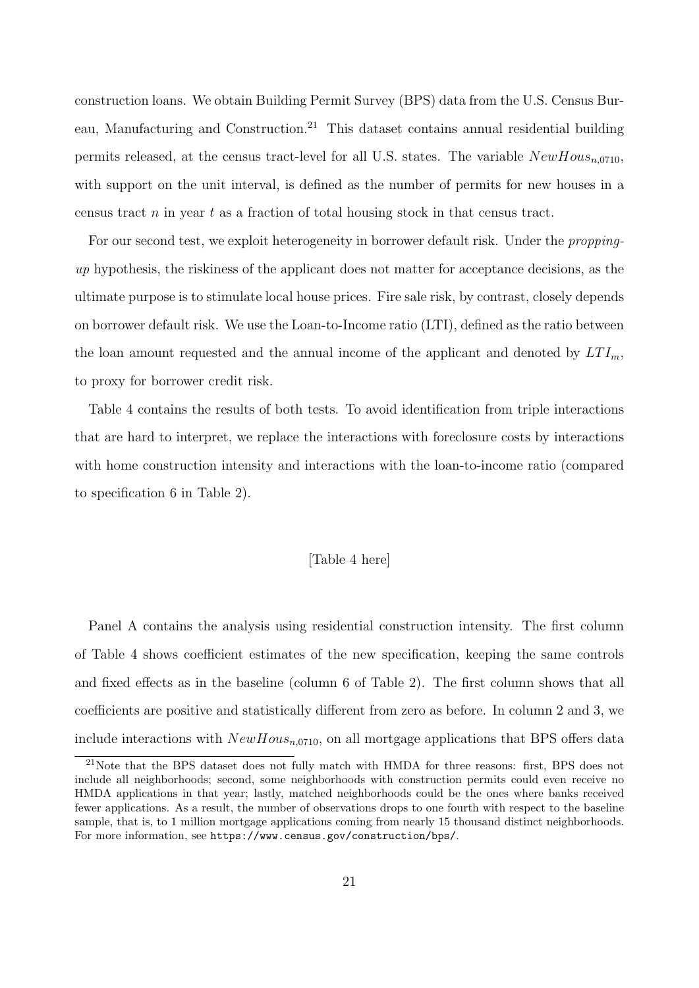construction loans. We obtain Building Permit Survey (BPS) data from the U.S. Census Bur-eau, Manufacturing and Construction.<sup>[21](#page-20-0)</sup> This dataset contains annual residential building permits released, at the census tract-level for all U.S. states. The variable  $NewHouse_{n.0710}$ , with support on the unit interval, is defined as the number of permits for new houses in a census tract  $n$  in year  $t$  as a fraction of total housing stock in that census tract.

For our second test, we exploit heterogeneity in borrower default risk. Under the proppingup hypothesis, the riskiness of the applicant does not matter for acceptance decisions, as the ultimate purpose is to stimulate local house prices. Fire sale risk, by contrast, closely depends on borrower default risk. We use the Loan-to-Income ratio (LTI), defined as the ratio between the loan amount requested and the annual income of the applicant and denoted by  $LTI_m$ , to proxy for borrower credit risk.

Table [4](#page-34-0) contains the results of both tests. To avoid identification from triple interactions that are hard to interpret, we replace the interactions with foreclosure costs by interactions with home construction intensity and interactions with the loan-to-income ratio (compared to specification 6 in Table [2\)](#page-32-0).

#### [Table [4](#page-34-0) here]

Panel A contains the analysis using residential construction intensity. The first column of Table [4](#page-34-0) shows coefficient estimates of the new specification, keeping the same controls and fixed effects as in the baseline (column 6 of Table [2\)](#page-32-0). The first column shows that all coefficients are positive and statistically different from zero as before. In column 2 and 3, we include interactions with  $NewHouse_{n.0710}$ , on all mortgage applications that BPS offers data

<span id="page-20-0"></span><sup>&</sup>lt;sup>21</sup>Note that the BPS dataset does not fully match with HMDA for three reasons: first, BPS does not include all neighborhoods; second, some neighborhoods with construction permits could even receive no HMDA applications in that year; lastly, matched neighborhoods could be the ones where banks received fewer applications. As a result, the number of observations drops to one fourth with respect to the baseline sample, that is, to 1 million mortgage applications coming from nearly 15 thousand distinct neighborhoods. For more information, see <https://www.census.gov/construction/bps/>.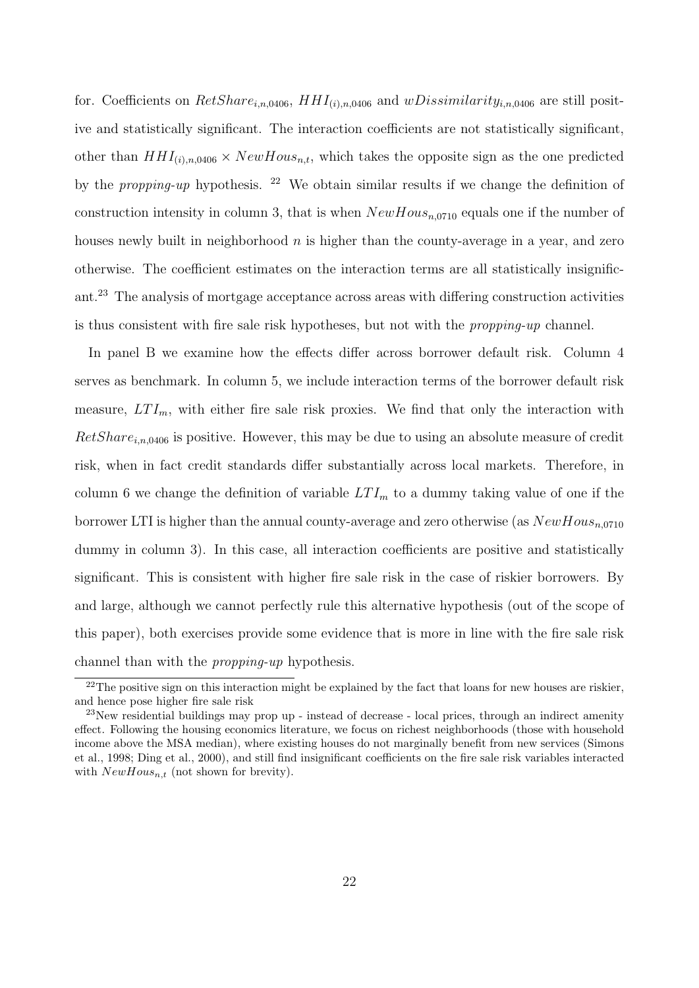for. Coefficients on  $RetShare_{i,n,0406}$ ,  $HHI_{(i),n,0406}$  and  $wDissimilarity_{i,n,0406}$  are still positive and statistically significant. The interaction coefficients are not statistically significant, other than  $HHI_{(i),n,0406} \times NewHouse$ , which takes the opposite sign as the one predicted by the *propping-up* hypothesis. <sup>[22](#page-21-0)</sup> We obtain similar results if we change the definition of construction intensity in column 3, that is when  $NewHouse_{n,0710}$  equals one if the number of houses newly built in neighborhood  $n$  is higher than the county-average in a year, and zero otherwise. The coefficient estimates on the interaction terms are all statistically insignificant.[23](#page-21-1) The analysis of mortgage acceptance across areas with differing construction activities is thus consistent with fire sale risk hypotheses, but not with the propping-up channel.

In panel B we examine how the effects differ across borrower default risk. Column 4 serves as benchmark. In column 5, we include interaction terms of the borrower default risk measure,  $LTI_m$ , with either fire sale risk proxies. We find that only the interaction with  $RetShare_{i,n,0406}$  is positive. However, this may be due to using an absolute measure of credit risk, when in fact credit standards differ substantially across local markets. Therefore, in column 6 we change the definition of variable  $LTI_m$  to a dummy taking value of one if the borrower LTI is higher than the annual county-average and zero otherwise (as  $NewHouse_{n,0710}$ dummy in column 3). In this case, all interaction coefficients are positive and statistically significant. This is consistent with higher fire sale risk in the case of riskier borrowers. By and large, although we cannot perfectly rule this alternative hypothesis (out of the scope of this paper), both exercises provide some evidence that is more in line with the fire sale risk channel than with the propping-up hypothesis.

<span id="page-21-0"></span> $22$ The positive sign on this interaction might be explained by the fact that loans for new houses are riskier, and hence pose higher fire sale risk

<span id="page-21-1"></span><sup>23</sup>New residential buildings may prop up - instead of decrease - local prices, through an indirect amenity effect. Following the housing economics literature, we focus on richest neighborhoods (those with household income above the MSA median), where existing houses do not marginally benefit from new services [\(Simons](#page-30-2) [et al., 1998;](#page-30-2) [Ding et al., 2000\)](#page-28-7), and still find insignificant coefficients on the fire sale risk variables interacted with  $NewHouse_{n,t}$  (not shown for brevity).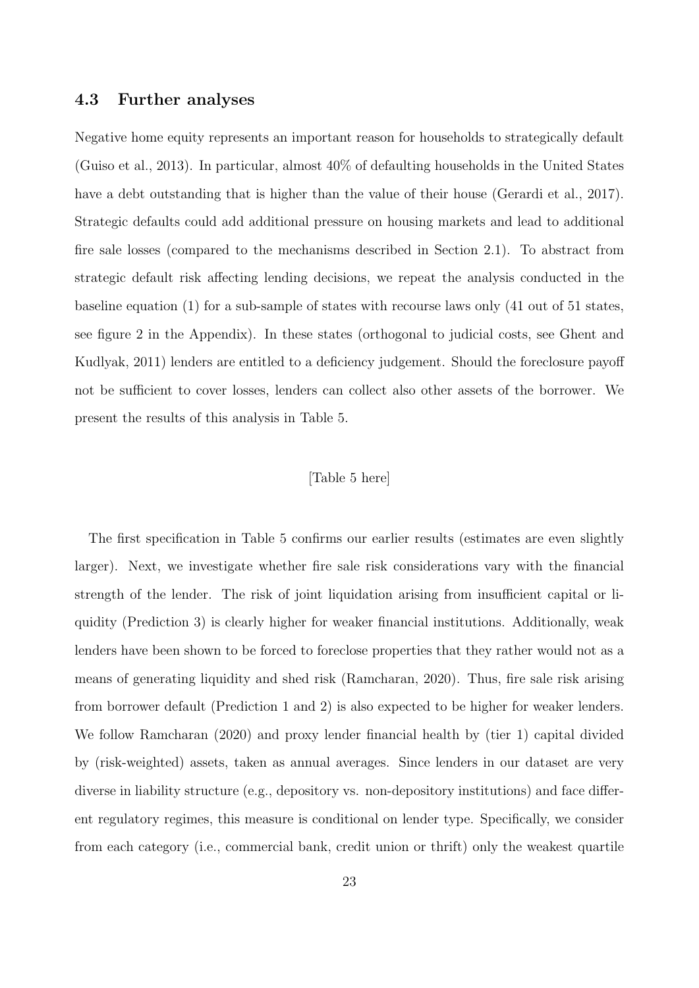#### <span id="page-22-0"></span>4.3 Further analyses

Negative home equity represents an important reason for households to strategically default [\(Guiso et al., 2013\)](#page-28-14). In particular, almost 40% of defaulting households in the United States have a debt outstanding that is higher than the value of their house [\(Gerardi et al., 2017\)](#page-28-15). Strategic defaults could add additional pressure on housing markets and lead to additional fire sale losses (compared to the mechanisms described in Section [2.1\)](#page-7-1). To abstract from strategic default risk affecting lending decisions, we repeat the analysis conducted in the baseline equation [\(1\)](#page-14-2) for a sub-sample of states with recourse laws only (41 out of 51 states, see figure [2](#page-38-0) in the Appendix). In these states (orthogonal to judicial costs, see [Ghent and](#page-28-1) [Kudlyak, 2011\)](#page-28-1) lenders are entitled to a deficiency judgement. Should the foreclosure payoff not be sufficient to cover losses, lenders can collect also other assets of the borrower. We present the results of this analysis in Table [5.](#page-35-0)

#### [Table [5](#page-35-0) here]

The first specification in Table [5](#page-35-0) confirms our earlier results (estimates are even slightly larger). Next, we investigate whether fire sale risk considerations vary with the financial strength of the lender. The risk of joint liquidation arising from insufficient capital or liquidity (Prediction 3) is clearly higher for weaker financial institutions. Additionally, weak lenders have been shown to be forced to foreclose properties that they rather would not as a means of generating liquidity and shed risk [\(Ramcharan, 2020\)](#page-29-3). Thus, fire sale risk arising from borrower default (Prediction 1 and 2) is also expected to be higher for weaker lenders. We follow [Ramcharan](#page-29-3) [\(2020\)](#page-29-3) and proxy lender financial health by (tier 1) capital divided by (risk-weighted) assets, taken as annual averages. Since lenders in our dataset are very diverse in liability structure (e.g., depository vs. non-depository institutions) and face different regulatory regimes, this measure is conditional on lender type. Specifically, we consider from each category (i.e., commercial bank, credit union or thrift) only the weakest quartile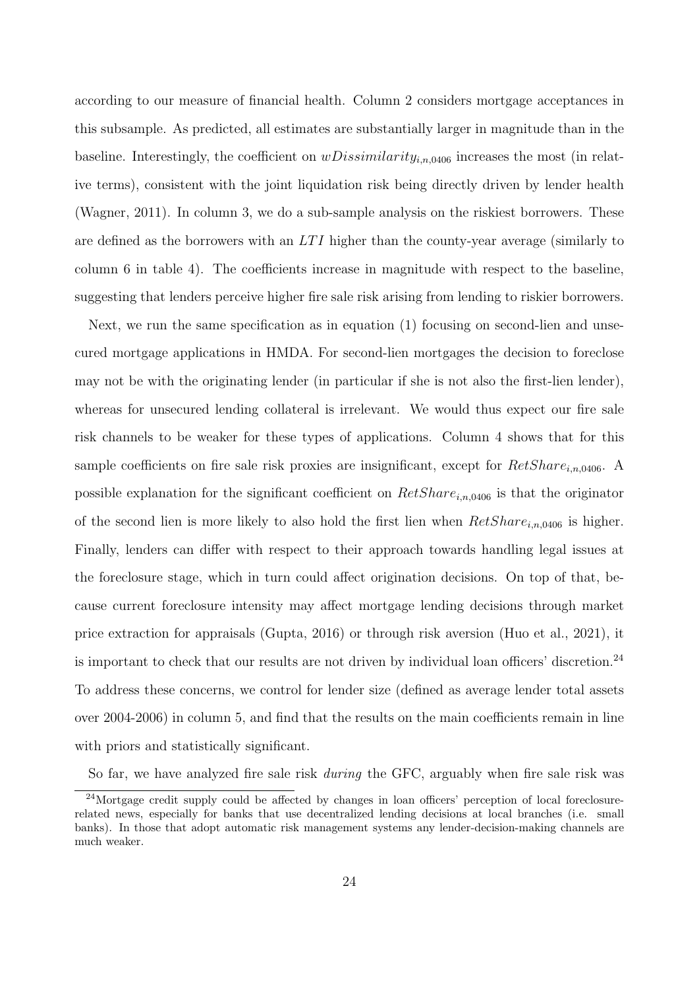according to our measure of financial health. Column 2 considers mortgage acceptances in this subsample. As predicted, all estimates are substantially larger in magnitude than in the baseline. Interestingly, the coefficient on  $wDissimilarity_{i,n,0406}$  increases the most (in relative terms), consistent with the joint liquidation risk being directly driven by lender health [\(Wagner, 2011\)](#page-30-1). In column 3, we do a sub-sample analysis on the riskiest borrowers. These are defined as the borrowers with an  $LTI$  higher than the county-year average (similarly to column 6 in table [4\)](#page-34-0). The coefficients increase in magnitude with respect to the baseline, suggesting that lenders perceive higher fire sale risk arising from lending to riskier borrowers.

Next, we run the same specification as in equation [\(1\)](#page-14-2) focusing on second-lien and unsecured mortgage applications in HMDA. For second-lien mortgages the decision to foreclose may not be with the originating lender (in particular if she is not also the first-lien lender), whereas for unsecured lending collateral is irrelevant. We would thus expect our fire sale risk channels to be weaker for these types of applications. Column 4 shows that for this sample coefficients on fire sale risk proxies are insignificant, except for  $RetShare_{i,n,0406}$ . A possible explanation for the significant coefficient on  $RetShare_{in,0406}$  is that the originator of the second lien is more likely to also hold the first lien when  $RetShare_{i,n,0406}$  is higher. Finally, lenders can differ with respect to their approach towards handling legal issues at the foreclosure stage, which in turn could affect origination decisions. On top of that, because current foreclosure intensity may affect mortgage lending decisions through market price extraction for appraisals [\(Gupta, 2016\)](#page-28-16) or through risk aversion [\(Huo et al., 2021\)](#page-29-18), it is important to check that our results are not driven by individual loan officers' discretion.<sup>[24](#page-23-0)</sup> To address these concerns, we control for lender size (defined as average lender total assets over 2004-2006) in column 5, and find that the results on the main coefficients remain in line with priors and statistically significant.

So far, we have analyzed fire sale risk *during* the GFC, arguably when fire sale risk was

<span id="page-23-0"></span><sup>24</sup>Mortgage credit supply could be affected by changes in loan officers' perception of local foreclosurerelated news, especially for banks that use decentralized lending decisions at local branches (i.e. small banks). In those that adopt automatic risk management systems any lender-decision-making channels are much weaker.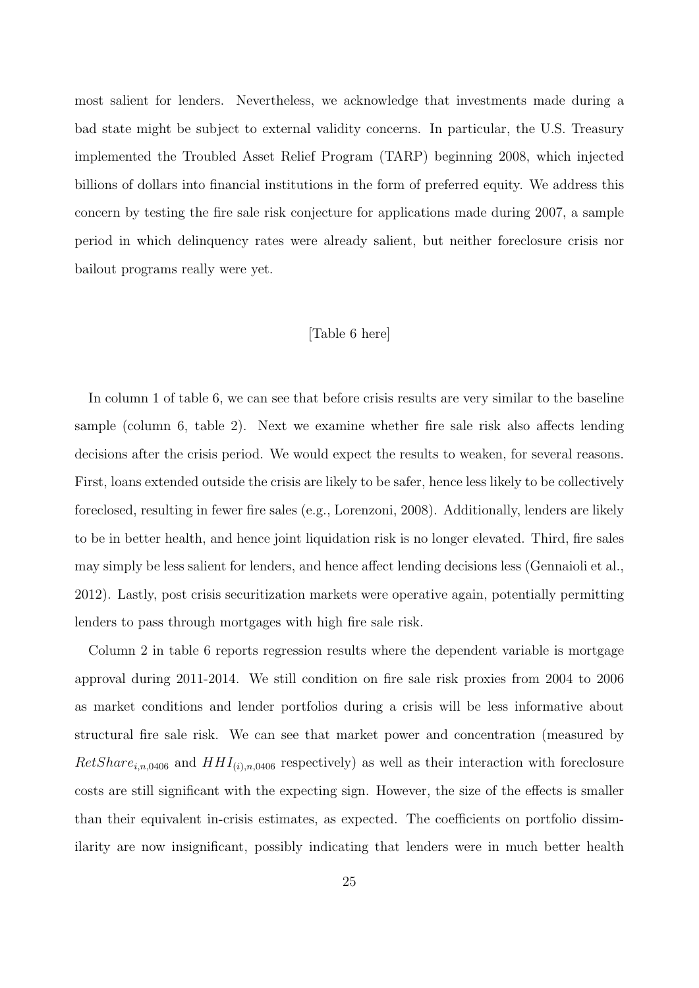most salient for lenders. Nevertheless, we acknowledge that investments made during a bad state might be subject to external validity concerns. In particular, the U.S. Treasury implemented the Troubled Asset Relief Program (TARP) beginning 2008, which injected billions of dollars into financial institutions in the form of preferred equity. We address this concern by testing the fire sale risk conjecture for applications made during 2007, a sample period in which delinquency rates were already salient, but neither foreclosure crisis nor bailout programs really were yet.

#### [Table [6](#page-36-0) here]

In column 1 of table [6,](#page-36-0) we can see that before crisis results are very similar to the baseline sample (column 6, table [2\)](#page-32-0). Next we examine whether fire sale risk also affects lending decisions after the crisis period. We would expect the results to weaken, for several reasons. First, loans extended outside the crisis are likely to be safer, hence less likely to be collectively foreclosed, resulting in fewer fire sales (e.g., [Lorenzoni, 2008\)](#page-29-1). Additionally, lenders are likely to be in better health, and hence joint liquidation risk is no longer elevated. Third, fire sales may simply be less salient for lenders, and hence affect lending decisions less [\(Gennaioli et al.,](#page-28-17) [2012\)](#page-28-17). Lastly, post crisis securitization markets were operative again, potentially permitting lenders to pass through mortgages with high fire sale risk.

Column 2 in table [6](#page-36-0) reports regression results where the dependent variable is mortgage approval during 2011-2014. We still condition on fire sale risk proxies from 2004 to 2006 as market conditions and lender portfolios during a crisis will be less informative about structural fire sale risk. We can see that market power and concentration (measured by  $RetShare_{i,n,0406}$  and  $HHI_{(i),n,0406}$  respectively) as well as their interaction with foreclosure costs are still significant with the expecting sign. However, the size of the effects is smaller than their equivalent in-crisis estimates, as expected. The coefficients on portfolio dissimilarity are now insignificant, possibly indicating that lenders were in much better health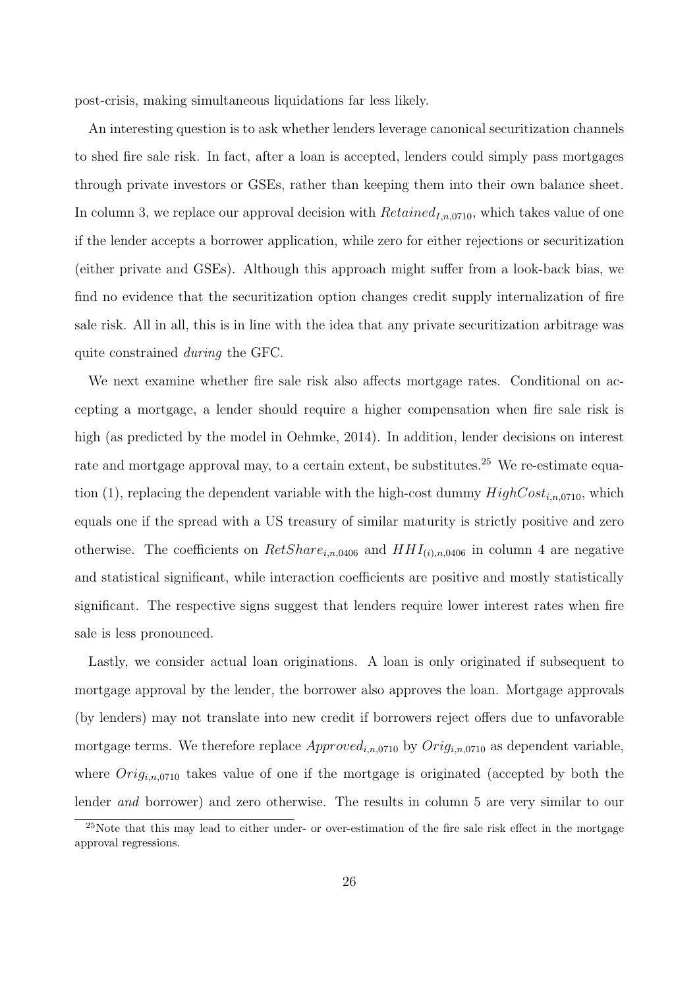post-crisis, making simultaneous liquidations far less likely.

An interesting question is to ask whether lenders leverage canonical securitization channels to shed fire sale risk. In fact, after a loan is accepted, lenders could simply pass mortgages through private investors or GSEs, rather than keeping them into their own balance sheet. In column 3, we replace our approval decision with  $Retained_{Ln,0710}$ , which takes value of one if the lender accepts a borrower application, while zero for either rejections or securitization (either private and GSEs). Although this approach might suffer from a look-back bias, we find no evidence that the securitization option changes credit supply internalization of fire sale risk. All in all, this is in line with the idea that any private securitization arbitrage was quite constrained during the GFC.

We next examine whether fire sale risk also affects mortgage rates. Conditional on accepting a mortgage, a lender should require a higher compensation when fire sale risk is high (as predicted by the model in [Oehmke, 2014\)](#page-29-5). In addition, lender decisions on interest rate and mortgage approval may, to a certain extent, be substitutes.<sup>[25](#page-25-0)</sup> We re-estimate equa-tion [\(1\)](#page-14-2), replacing the dependent variable with the high-cost dummy  $HighCost_{i,n,0710}$ , which equals one if the spread with a US treasury of similar maturity is strictly positive and zero otherwise. The coefficients on  $RetShare_{i,n,0406}$  and  $HH_{(i),n,0406}$  in column 4 are negative and statistical significant, while interaction coefficients are positive and mostly statistically significant. The respective signs suggest that lenders require lower interest rates when fire sale is less pronounced.

Lastly, we consider actual loan originations. A loan is only originated if subsequent to mortgage approval by the lender, the borrower also approves the loan. Mortgage approvals (by lenders) may not translate into new credit if borrowers reject offers due to unfavorable mortgage terms. We therefore replace  $Approved_{i,n,0710}$  by  $Orig_{i,n,0710}$  as dependent variable, where  $Orig_{i,n,0710}$  takes value of one if the mortgage is originated (accepted by both the lender *and* borrower) and zero otherwise. The results in column 5 are very similar to our

<span id="page-25-0"></span> $25$ Note that this may lead to either under- or over-estimation of the fire sale risk effect in the mortgage approval regressions.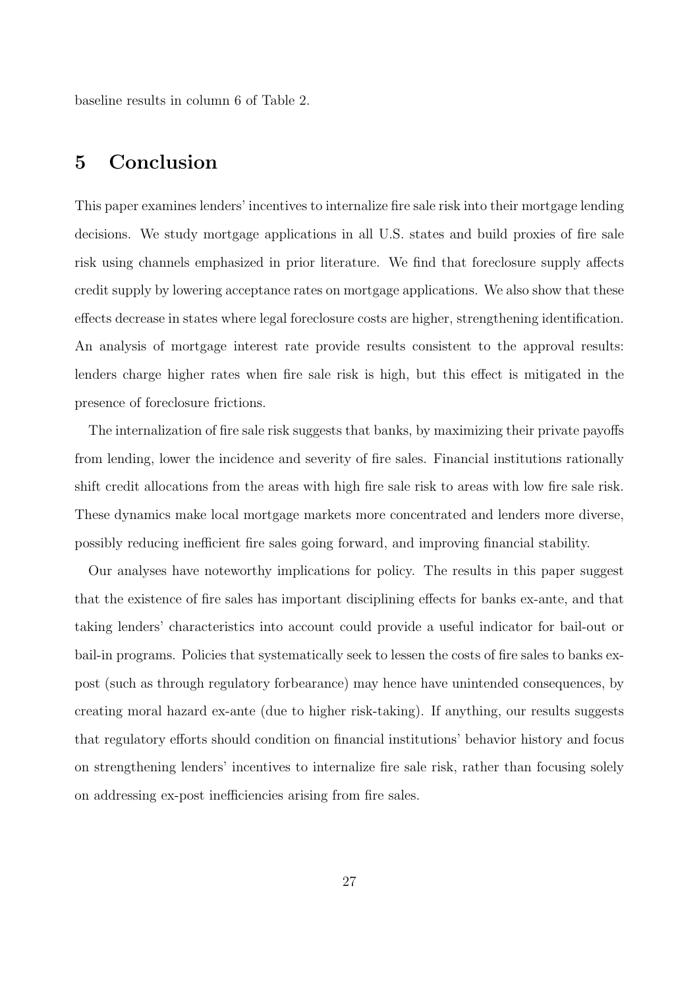baseline results in column 6 of Table [2.](#page-32-0)

## 5 Conclusion

This paper examines lenders' incentives to internalize fire sale risk into their mortgage lending decisions. We study mortgage applications in all U.S. states and build proxies of fire sale risk using channels emphasized in prior literature. We find that foreclosure supply affects credit supply by lowering acceptance rates on mortgage applications. We also show that these effects decrease in states where legal foreclosure costs are higher, strengthening identification. An analysis of mortgage interest rate provide results consistent to the approval results: lenders charge higher rates when fire sale risk is high, but this effect is mitigated in the presence of foreclosure frictions.

The internalization of fire sale risk suggests that banks, by maximizing their private payoffs from lending, lower the incidence and severity of fire sales. Financial institutions rationally shift credit allocations from the areas with high fire sale risk to areas with low fire sale risk. These dynamics make local mortgage markets more concentrated and lenders more diverse, possibly reducing inefficient fire sales going forward, and improving financial stability.

Our analyses have noteworthy implications for policy. The results in this paper suggest that the existence of fire sales has important disciplining effects for banks ex-ante, and that taking lenders' characteristics into account could provide a useful indicator for bail-out or bail-in programs. Policies that systematically seek to lessen the costs of fire sales to banks expost (such as through regulatory forbearance) may hence have unintended consequences, by creating moral hazard ex-ante (due to higher risk-taking). If anything, our results suggests that regulatory efforts should condition on financial institutions' behavior history and focus on strengthening lenders' incentives to internalize fire sale risk, rather than focusing solely on addressing ex-post inefficiencies arising from fire sales.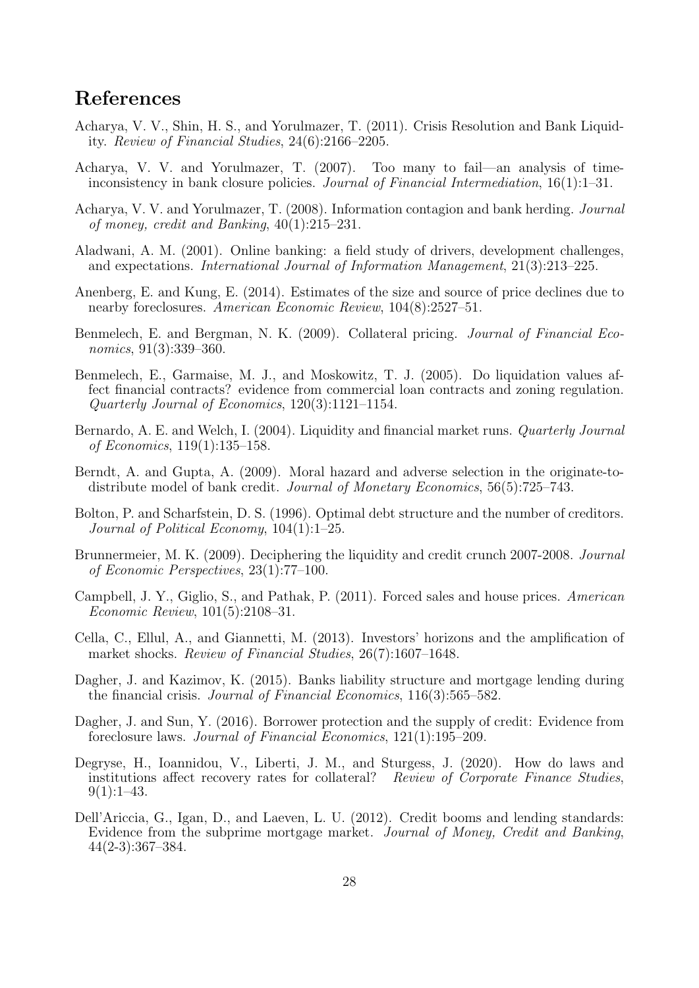## References

- <span id="page-27-12"></span>Acharya, V. V., Shin, H. S., and Yorulmazer, T. (2011). Crisis Resolution and Bank Liquidity. Review of Financial Studies, 24(6):2166–2205.
- <span id="page-27-10"></span>Acharya, V. V. and Yorulmazer, T. (2007). Too many to fail—an analysis of timeinconsistency in bank closure policies. Journal of Financial Intermediation,  $16(1):1-31$ .
- <span id="page-27-11"></span>Acharya, V. V. and Yorulmazer, T. (2008). Information contagion and bank herding. Journal of money, credit and Banking, 40(1):215–231.
- <span id="page-27-9"></span>Aladwani, A. M. (2001). Online banking: a field study of drivers, development challenges, and expectations. International Journal of Information Management, 21(3):213–225.
- <span id="page-27-2"></span>Anenberg, E. and Kung, E. (2014). Estimates of the size and source of price declines due to nearby foreclosures. American Economic Review,  $104(8):2527-51$ .
- <span id="page-27-6"></span>Benmelech, E. and Bergman, N. K. (2009). Collateral pricing. *Journal of Financial Eco*nomics, 91(3):339–360.
- <span id="page-27-5"></span>Benmelech, E., Garmaise, M. J., and Moskowitz, T. J. (2005). Do liquidation values affect financial contracts? evidence from commercial loan contracts and zoning regulation. Quarterly Journal of Economics, 120(3):1121–1154.
- <span id="page-27-0"></span>Bernardo, A. E. and Welch, I. (2004). Liquidity and financial market runs. *Quarterly Journal* of Economics, 119(1):135–158.
- <span id="page-27-13"></span>Berndt, A. and Gupta, A. (2009). Moral hazard and adverse selection in the originate-todistribute model of bank credit. Journal of Monetary Economics, 56(5):725–743.
- <span id="page-27-4"></span>Bolton, P. and Scharfstein, D. S. (1996). Optimal debt structure and the number of creditors. Journal of Political Economy, 104(1):1–25.
- <span id="page-27-15"></span>Brunnermeier, M. K. (2009). Deciphering the liquidity and credit crunch 2007-2008. Journal of Economic Perspectives, 23(1):77–100.
- <span id="page-27-1"></span>Campbell, J. Y., Giglio, S., and Pathak, P. (2011). Forced sales and house prices. American Economic Review, 101(5):2108–31.
- <span id="page-27-3"></span>Cella, C., Ellul, A., and Giannetti, M. (2013). Investors' horizons and the amplification of market shocks. Review of Financial Studies, 26(7):1607–1648.
- <span id="page-27-16"></span>Dagher, J. and Kazimov, K. (2015). Banks liability structure and mortgage lending during the financial crisis. Journal of Financial Economics, 116(3):565–582.
- <span id="page-27-7"></span>Dagher, J. and Sun, Y. (2016). Borrower protection and the supply of credit: Evidence from foreclosure laws. Journal of Financial Economics, 121(1):195–209.
- <span id="page-27-8"></span>Degryse, H., Ioannidou, V., Liberti, J. M., and Sturgess, J. (2020). How do laws and institutions affect recovery rates for collateral? Review of Corporate Finance Studies,  $9(1):1-43.$
- <span id="page-27-14"></span>Dell'Ariccia, G., Igan, D., and Laeven, L. U. (2012). Credit booms and lending standards: Evidence from the subprime mortgage market. Journal of Money, Credit and Banking, 44(2-3):367–384.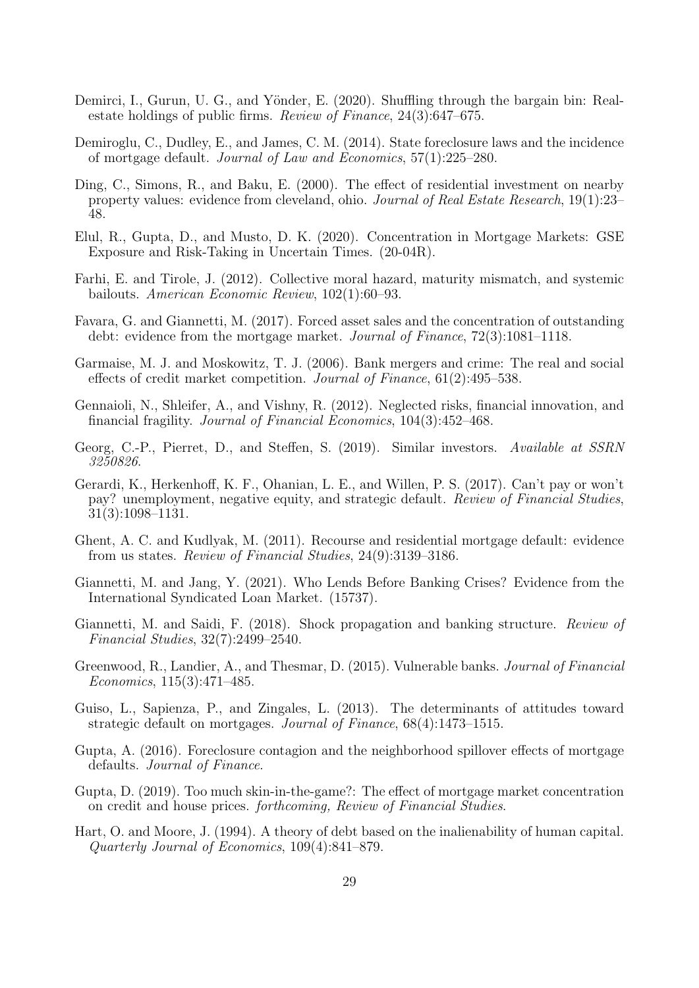- <span id="page-28-6"></span>Demirci, I., Gurun, U. G., and Yönder, E. (2020). Shuffling through the bargain bin: Realestate holdings of public firms. Review of Finance, 24(3):647–675.
- <span id="page-28-5"></span>Demiroglu, C., Dudley, E., and James, C. M. (2014). State foreclosure laws and the incidence of mortgage default. Journal of Law and Economics, 57(1):225–280.
- <span id="page-28-7"></span>Ding, C., Simons, R., and Baku, E. (2000). The effect of residential investment on nearby property values: evidence from cleveland, ohio. Journal of Real Estate Research, 19(1):23– 48.
- <span id="page-28-13"></span>Elul, R., Gupta, D., and Musto, D. K. (2020). Concentration in Mortgage Markets: GSE Exposure and Risk-Taking in Uncertain Times. (20-04R).
- <span id="page-28-10"></span>Farhi, E. and Tirole, J. (2012). Collective moral hazard, maturity mismatch, and systemic bailouts. American Economic Review, 102(1):60–93.
- <span id="page-28-0"></span>Favara, G. and Giannetti, M. (2017). Forced asset sales and the concentration of outstanding debt: evidence from the mortgage market. Journal of Finance, 72(3):1081–1118.
- <span id="page-28-2"></span>Garmaise, M. J. and Moskowitz, T. J. (2006). Bank mergers and crime: The real and social effects of credit market competition. Journal of Finance, 61(2):495–538.
- <span id="page-28-17"></span>Gennaioli, N., Shleifer, A., and Vishny, R. (2012). Neglected risks, financial innovation, and financial fragility. Journal of Financial Economics, 104(3):452–468.
- <span id="page-28-12"></span>Georg, C.-P., Pierret, D., and Steffen, S. (2019). Similar investors. Available at SSRN 3250826.
- <span id="page-28-15"></span>Gerardi, K., Herkenhoff, K. F., Ohanian, L. E., and Willen, P. S. (2017). Can't pay or won't pay? unemployment, negative equity, and strategic default. Review of Financial Studies, 31(3):1098–1131.
- <span id="page-28-1"></span>Ghent, A. C. and Kudlyak, M. (2011). Recourse and residential mortgage default: evidence from us states. Review of Financial Studies, 24(9):3139–3186.
- <span id="page-28-9"></span>Giannetti, M. and Jang, Y. (2021). Who Lends Before Banking Crises? Evidence from the International Syndicated Loan Market. (15737).
- <span id="page-28-3"></span>Giannetti, M. and Saidi, F. (2018). Shock propagation and banking structure. Review of Financial Studies, 32(7):2499–2540.
- <span id="page-28-11"></span>Greenwood, R., Landier, A., and Thesmar, D. (2015). Vulnerable banks. *Journal of Financial* Economics, 115(3):471–485.
- <span id="page-28-14"></span>Guiso, L., Sapienza, P., and Zingales, L. (2013). The determinants of attitudes toward strategic default on mortgages. Journal of Finance, 68(4):1473–1515.
- <span id="page-28-16"></span>Gupta, A. (2016). Foreclosure contagion and the neighborhood spillover effects of mortgage defaults. *Journal of Finance*.
- <span id="page-28-4"></span>Gupta, D. (2019). Too much skin-in-the-game?: The effect of mortgage market concentration on credit and house prices. forthcoming, Review of Financial Studies.
- <span id="page-28-8"></span>Hart, O. and Moore, J. (1994). A theory of debt based on the inalienability of human capital. Quarterly Journal of Economics, 109(4):841–879.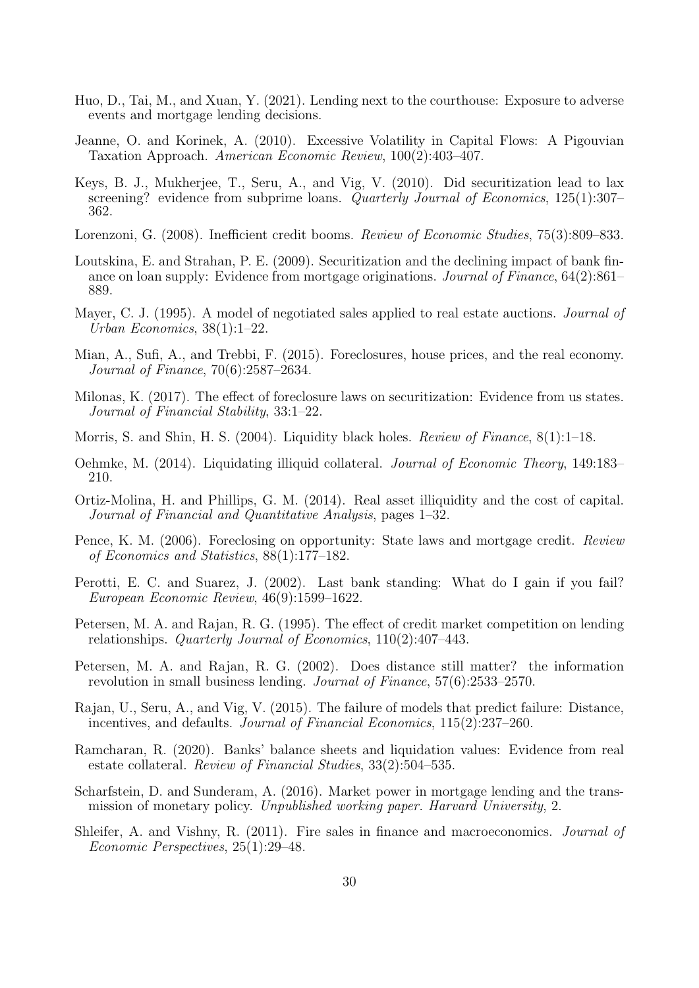- <span id="page-29-18"></span>Huo, D., Tai, M., and Xuan, Y. (2021). Lending next to the courthouse: Exposure to adverse events and mortgage lending decisions.
- <span id="page-29-2"></span>Jeanne, O. and Korinek, A. (2010). Excessive Volatility in Capital Flows: A Pigouvian Taxation Approach. American Economic Review, 100(2):403–407.
- <span id="page-29-14"></span>Keys, B. J., Mukherjee, T., Seru, A., and Vig, V. (2010). Did securitization lead to lax screening? evidence from subprime loans. Quarterly Journal of Economics, 125(1):307– 362.
- <span id="page-29-1"></span>Lorenzoni, G. (2008). Inefficient credit booms. Review of Economic Studies, 75(3):809–833.
- <span id="page-29-17"></span>Loutskina, E. and Strahan, P. E. (2009). Securitization and the declining impact of bank finance on loan supply: Evidence from mortgage originations. Journal of Finance, 64(2):861– 889.
- <span id="page-29-0"></span>Mayer, C. J. (1995). A model of negotiated sales applied to real estate auctions. *Journal of* Urban Economics, 38(1):1–22.
- <span id="page-29-6"></span>Mian, A., Sufi, A., and Trebbi, F. (2015). Foreclosures, house prices, and the real economy. Journal of Finance, 70(6):2587–2634.
- <span id="page-29-10"></span>Milonas, K. (2017). The effect of foreclosure laws on securitization: Evidence from us states. Journal of Financial Stability, 33:1–22.
- <span id="page-29-7"></span>Morris, S. and Shin, H. S. (2004). Liquidity black holes. Review of Finance,  $8(1):1-18$ .
- <span id="page-29-5"></span>Oehmke, M. (2014). Liquidating illiquid collateral. Journal of Economic Theory, 149:183– 210.
- <span id="page-29-8"></span>Ortiz-Molina, H. and Phillips, G. M. (2014). Real asset illiquidity and the cost of capital. Journal of Financial and Quantitative Analysis, pages 1–32.
- <span id="page-29-9"></span>Pence, K. M. (2006). Foreclosing on opportunity: State laws and mortgage credit. Review of Economics and Statistics, 88(1):177–182.
- <span id="page-29-13"></span>Perotti, E. C. and Suarez, J. (2002). Last bank standing: What do I gain if you fail? European Economic Review, 46(9):1599–1622.
- <span id="page-29-12"></span>Petersen, M. A. and Rajan, R. G. (1995). The effect of credit market competition on lending relationships. Quarterly Journal of Economics, 110(2):407–443.
- <span id="page-29-16"></span>Petersen, M. A. and Rajan, R. G. (2002). Does distance still matter? the information revolution in small business lending. Journal of Finance, 57(6):2533–2570.
- <span id="page-29-15"></span>Rajan, U., Seru, A., and Vig, V. (2015). The failure of models that predict failure: Distance, incentives, and defaults. Journal of Financial Economics, 115(2):237–260.
- <span id="page-29-3"></span>Ramcharan, R. (2020). Banks' balance sheets and liquidation values: Evidence from real estate collateral. Review of Financial Studies, 33(2):504–535.
- <span id="page-29-11"></span>Scharfstein, D. and Sunderam, A. (2016). Market power in mortgage lending and the transmission of monetary policy. Unpublished working paper. Harvard University, 2.
- <span id="page-29-4"></span>Shleifer, A. and Vishny, R. (2011). Fire sales in finance and macroeconomics. *Journal of* Economic Perspectives, 25(1):29–48.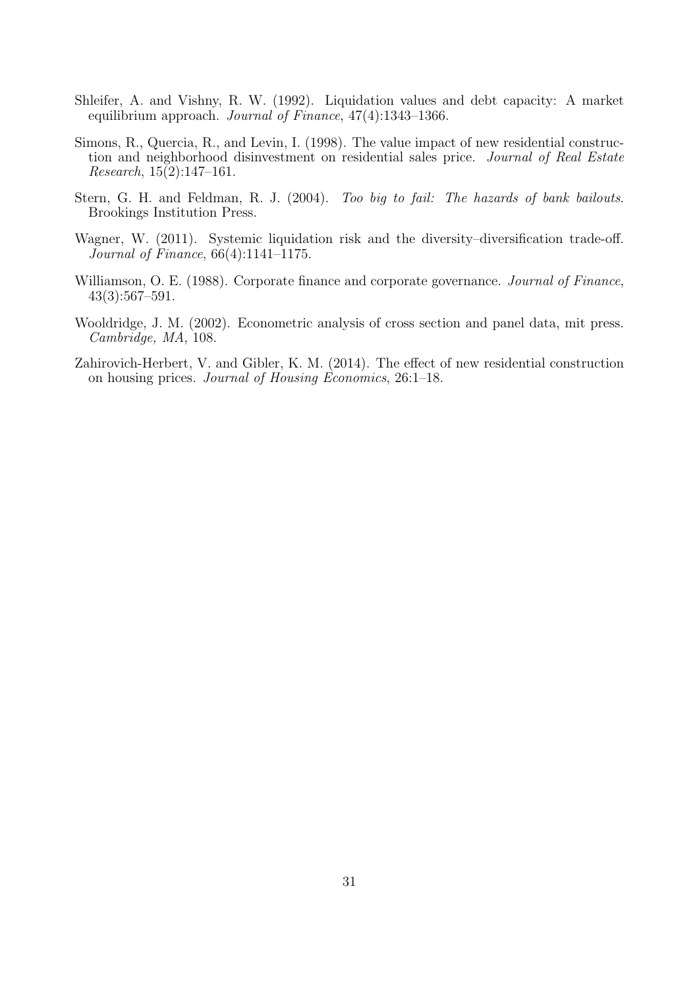- <span id="page-30-0"></span>Shleifer, A. and Vishny, R. W. (1992). Liquidation values and debt capacity: A market equilibrium approach. Journal of Finance, 47(4):1343–1366.
- <span id="page-30-2"></span>Simons, R., Quercia, R., and Levin, I. (1998). The value impact of new residential construction and neighborhood disinvestment on residential sales price. Journal of Real Estate Research, 15(2):147–161.
- <span id="page-30-5"></span>Stern, G. H. and Feldman, R. J. (2004). Too big to fail: The hazards of bank bailouts. Brookings Institution Press.
- <span id="page-30-1"></span>Wagner, W. (2011). Systemic liquidation risk and the diversity–diversification trade-off. Journal of Finance, 66(4):1141–1175.
- <span id="page-30-4"></span>Williamson, O. E. (1988). Corporate finance and corporate governance. *Journal of Finance*, 43(3):567–591.
- <span id="page-30-6"></span>Wooldridge, J. M. (2002). Econometric analysis of cross section and panel data, mit press. Cambridge, MA, 108.
- <span id="page-30-3"></span>Zahirovich-Herbert, V. and Gibler, K. M. (2014). The effect of new residential construction on housing prices. Journal of Housing Economics, 26:1–18.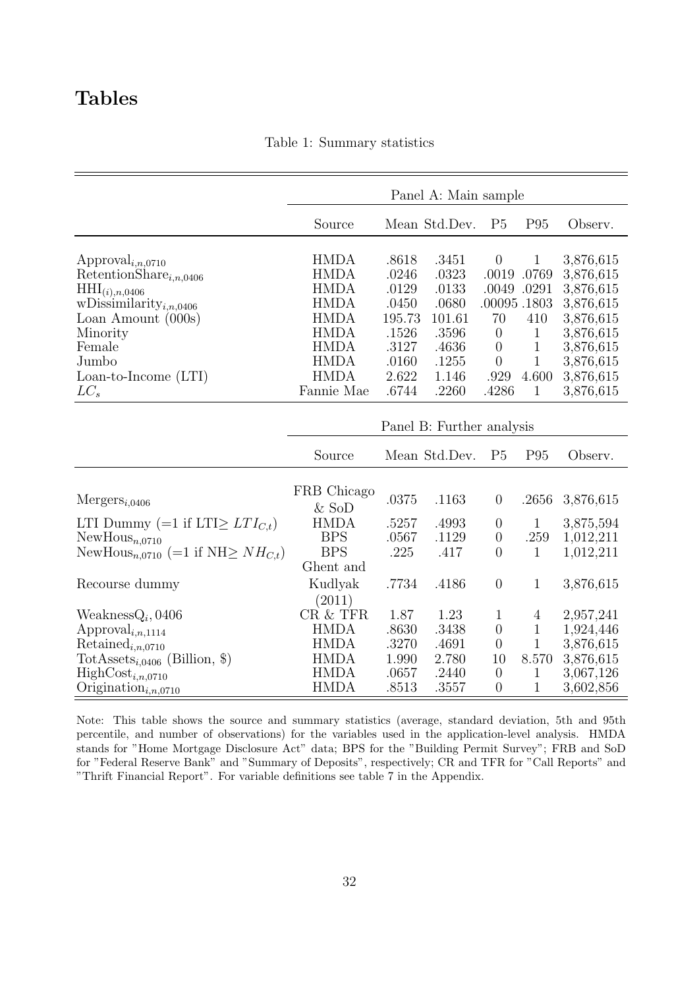## <span id="page-31-0"></span>Tables

|  | Table 1: Summary statistics |  |
|--|-----------------------------|--|
|--|-----------------------------|--|

|                                                                                                                                                                                                                               |                                                                                                                                     |                                                                                | Panel A: Main sample                                                           |                                                                                                                         |                                                                                               |                                                                                                                   |
|-------------------------------------------------------------------------------------------------------------------------------------------------------------------------------------------------------------------------------|-------------------------------------------------------------------------------------------------------------------------------------|--------------------------------------------------------------------------------|--------------------------------------------------------------------------------|-------------------------------------------------------------------------------------------------------------------------|-----------------------------------------------------------------------------------------------|-------------------------------------------------------------------------------------------------------------------|
|                                                                                                                                                                                                                               | Source                                                                                                                              |                                                                                | Mean Std.Dev.                                                                  | P <sub>5</sub>                                                                                                          | P <sub>95</sub>                                                                               | Observ.                                                                                                           |
| Approval <sub><math>i,n,0710</math></sub><br>RetentionShare $_{i,n,0406}$<br>$\text{HHI}_{(i),n,0406}$<br>wDissimilarity <sub>i,n,0406</sub><br>Loan Amount $(000s)$<br>Minority<br>Female<br>Jumbo<br>$Loan-to-Income (LTI)$ | <b>HMDA</b><br><b>HMDA</b><br><b>HMDA</b><br><b>HMDA</b><br><b>HMDA</b><br><b>HMDA</b><br><b>HMDA</b><br><b>HMDA</b><br><b>HMDA</b> | .8618<br>.0246<br>.0129<br>.0450<br>195.73<br>.1526<br>.3127<br>.0160<br>2.622 | .3451<br>.0323<br>.0133<br>.0680<br>101.61<br>.3596<br>.4636<br>.1255<br>1.146 | $\boldsymbol{0}$<br>.0019<br>.0049<br>.00095.1803<br>70<br>$\overline{0}$<br>$\overline{0}$<br>$\boldsymbol{0}$<br>.929 | $\mathbf{1}$<br>.0769<br>.0291<br>410<br>$\mathbf{1}$<br>$\mathbf{1}$<br>$\mathbf 1$<br>4.600 | 3,876,615<br>3,876,615<br>3,876,615<br>3,876,615<br>3,876,615<br>3,876,615<br>3,876,615<br>3,876,615<br>3,876,615 |
| $LC_s$                                                                                                                                                                                                                        | Fannie Mae                                                                                                                          | .6744                                                                          | .2260                                                                          | .4286                                                                                                                   | $\mathbf{1}$                                                                                  | 3,876,615                                                                                                         |
|                                                                                                                                                                                                                               | Source                                                                                                                              |                                                                                | Panel B: Further analysis<br>Mean Std.Dev.                                     | P <sub>5</sub>                                                                                                          | P <sub>95</sub>                                                                               | Observ.                                                                                                           |
| $Mergers_{i,0406}$                                                                                                                                                                                                            | FRB Chicago<br>$&$ SoD                                                                                                              | .0375                                                                          | .1163                                                                          | $\boldsymbol{0}$                                                                                                        | .2656                                                                                         | 3,876,615                                                                                                         |
| LTI Dummy (=1 if LTI $\geq LTI_{C,t}$ )<br>$NewHouse_{n,0710}$                                                                                                                                                                | <b>HMDA</b><br><b>BPS</b>                                                                                                           | .5257<br>.0567                                                                 | .4993<br>.1129                                                                 | $\boldsymbol{0}$<br>$\boldsymbol{0}$                                                                                    | $\mathbf{1}$<br>.259                                                                          | 3,875,594<br>1,012,211                                                                                            |
| NewHous <sub>n,0710</sub> (=1 if NH $\geq NH_{C,t}$ )                                                                                                                                                                         | <b>BPS</b>                                                                                                                          | .225                                                                           | .417                                                                           | $\overline{0}$                                                                                                          | 1                                                                                             | 1,012,211                                                                                                         |
| Recourse dummy                                                                                                                                                                                                                | Ghent and<br>Kudlyak<br>(2011)                                                                                                      | .7734                                                                          | .4186                                                                          | $\boldsymbol{0}$                                                                                                        | 1                                                                                             | 3,876,615                                                                                                         |
| $WeaknessQ_i,0406$<br>$\mathrm{Appendi}_{i,n,1114}$<br>$Retained_{i,n,0710}$                                                                                                                                                  | CR & TFR<br><b>HMDA</b><br><b>HMDA</b>                                                                                              | 1.87<br>.8630<br>.3270                                                         | 1.23<br>.3438<br>.4691                                                         | $\mathbf{1}$<br>$\boldsymbol{0}$<br>$\overline{0}$                                                                      | 4<br>$\mathbf 1$<br>$\mathbf 1$                                                               | 2,957,241<br>1,924,446<br>3,876,615                                                                               |
| TotAssets <sub>i,0406</sub> (Billion, \$)<br>$HighCost_{i,n,0710}$<br>Origination <sub>i,n,0710</sub>                                                                                                                         | <b>HMDA</b><br><b>HMDA</b><br><b>HMDA</b>                                                                                           | 1.990<br>.0657<br>.8513                                                        | 2.780<br>.2440<br>.3557                                                        | 10<br>$\overline{0}$<br>$\overline{0}$                                                                                  | 8.570<br>1<br>1                                                                               | 3,876,615<br>3,067,126<br>3,602,856                                                                               |

Note: This table shows the source and summary statistics (average, standard deviation, 5th and 95th percentile, and number of observations) for the variables used in the application-level analysis. HMDA stands for "Home Mortgage Disclosure Act" data; BPS for the "Building Permit Survey"; FRB and SoD for "Federal Reserve Bank" and "Summary of Deposits", respectively; CR and TFR for "Call Reports" and "Thrift Financial Report". For variable definitions see table [7](#page-39-0) in the Appendix.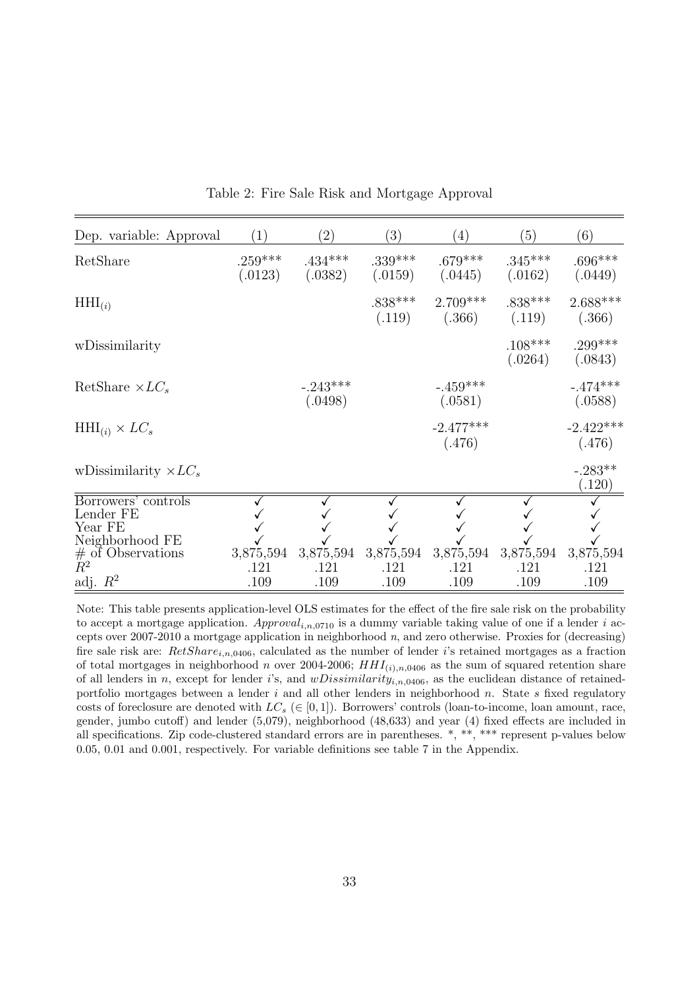<span id="page-32-0"></span>

| Dep. variable: Approval      | (1)                  | (2)                   | (3)                  | (4)                   | (5)                  | (6)                   |
|------------------------------|----------------------|-----------------------|----------------------|-----------------------|----------------------|-----------------------|
| RetShare                     | $.259***$<br>(.0123) | $.434***$<br>(.0382)  | $.339***$<br>(.0159) | $.679***$<br>(.0445)  | $.345***$<br>(.0162) | $.696***$<br>(.0449)  |
| $HHI_{(i)}$                  |                      |                       | $.838***$<br>(.119)  | $2.709***$<br>(.366)  | $.838***$<br>(.119)  | $2.688***$<br>(.366)  |
| wDissimilarity               |                      |                       |                      |                       | $.108***$<br>(.0264) | $.299***$<br>(.0843)  |
| RetShare $\times LC_s$       |                      | $-.243***$<br>(.0498) |                      | $-.459***$<br>(.0581) |                      | $-.474***$<br>(.0588) |
| $HHI_{(i)} \times LC_s$      |                      |                       |                      | $-2.477***$<br>(.476) |                      | $-2.422***$<br>(.476) |
| wDissimilarity $\times LC_s$ |                      |                       |                      |                       |                      | $-.283**$<br>(.120)   |
| Borrowers' controls          |                      |                       |                      |                       |                      |                       |
| Lender FE                    |                      |                       |                      |                       |                      |                       |
| Year FE<br>Neighborhood FE   |                      |                       |                      |                       |                      |                       |
| $#$ of Observations          | 3,875,594            | 3,875,594             | 3,875,594            | 3,875,594             | 3,875,594            | 3,875,594             |
| $\tilde{R}^2$                | .121                 | .121                  | .121                 | .121                  | .121                 | .121                  |
| adj. $R^2$                   | .109                 | .109                  | .109                 | .109                  | .109                 | .109                  |

Table 2: Fire Sale Risk and Mortgage Approval

Note: This table presents application-level OLS estimates for the effect of the fire sale risk on the probability to accept a mortgage application.  $Append_{i,n,0710}$  is a dummy variable taking value of one if a lender i accepts over 2007-2010 a mortgage application in neighborhood  $n$ , and zero otherwise. Proxies for (decreasing) fire sale risk are:  $RetShare_{i,n,0406}$ , calculated as the number of lender i's retained mortgages as a fraction of total mortgages in neighborhood n over 2004-2006;  $HHI_{(i),n,0406}$  as the sum of squared retention share of all lenders in n, except for lender i's, and  $wDissimilarity_{i,n,0406}$ , as the euclidean distance of retainedportfolio mortgages between a lender  $i$  and all other lenders in neighborhood  $n$ . State  $s$  fixed regulatory costs of foreclosure are denoted with  $LC_s \in [0,1]$ ). Borrowers' controls (loan-to-income, loan amount, race, gender, jumbo cutoff) and lender (5,079), neighborhood (48,633) and year (4) fixed effects are included in all specifications. Zip code-clustered standard errors are in parentheses. \*, \*\*, \*\*\* represent p-values below 0.05, 0.01 and 0.001, respectively. For variable definitions see table [7](#page-39-0) in the Appendix.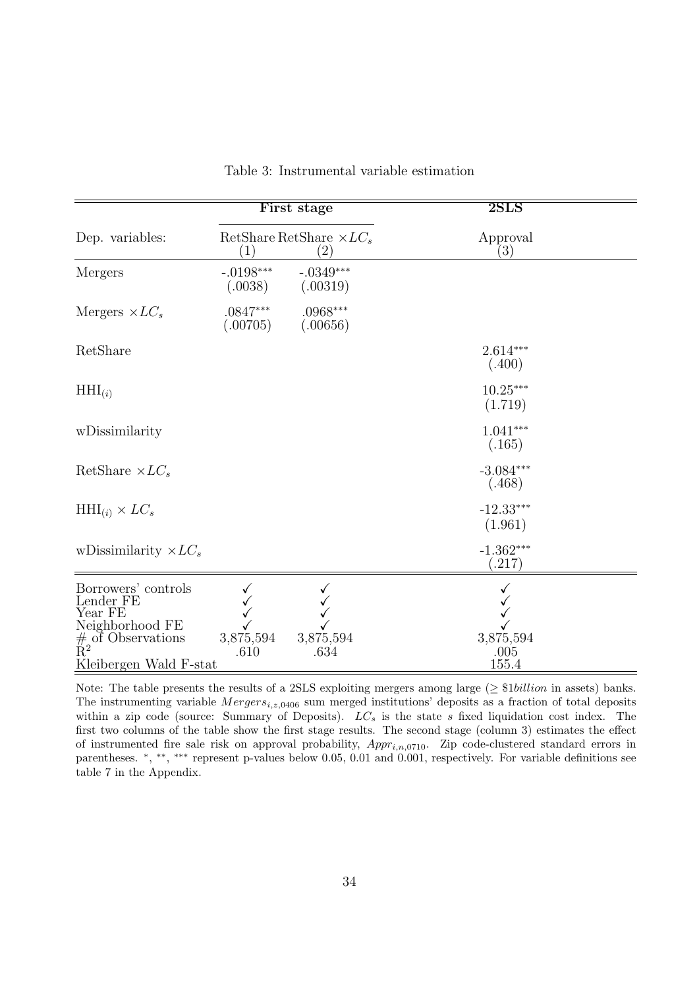<span id="page-33-0"></span>

|                                                                                                                       |                        | First stage                            | 2SLS                         |  |
|-----------------------------------------------------------------------------------------------------------------------|------------------------|----------------------------------------|------------------------------|--|
| Dep. variables:                                                                                                       | (1)                    | RetShare RetShare $\times LC_s$<br>(2) | Approval<br>$\left(3\right)$ |  |
| Mergers                                                                                                               | $-.0198***$<br>(.0038) | $-.0349***$<br>(.00319)                |                              |  |
| Mergers $\times LC_s$                                                                                                 | $.0847***$<br>(.00705) | $.0968***$<br>(.00656)                 |                              |  |
| RetShare                                                                                                              |                        |                                        | $2.614***$<br>(.400)         |  |
| $HHI_{(i)}$                                                                                                           |                        |                                        | $10.25***$<br>(1.719)        |  |
| wDissimilarity                                                                                                        |                        |                                        | $1.041***$<br>(.165)         |  |
| RetShare $\times LC_s$                                                                                                |                        |                                        | $-3.084***$<br>(.468)        |  |
| $HHI_{(i)} \times LC_s$                                                                                               |                        |                                        | $-12.33***$<br>(1.961)       |  |
| wDissimilarity $\times LC_s$                                                                                          |                        |                                        | $-1.362***$<br>(.217)        |  |
| Borrowers' controls<br>Lender FE<br>Year FE<br>Neighborhood FE<br>$#_{R^2}$ of Observations<br>Kleibergen Wald F-stat | 3,875,594<br>.610      | 3,875,594<br>.634                      | 3,875,594<br>.005<br>155.4   |  |

Table 3: Instrumental variable estimation

Note: The table presents the results of a 2SLS exploiting mergers among large ( $\geq$  \$1*billion* in assets) banks. The instrumenting variable  $Mergers_{i,z,0406}$  sum merged institutions' deposits as a fraction of total deposits within a zip code (source: Summary of Deposits).  $LC_s$  is the state s fixed liquidation cost index. The first two columns of the table show the first stage results. The second stage (column 3) estimates the effect of instrumented fire sale risk on approval probability,  $Appr_{i,n,0710}$ . Zip code-clustered standard errors in parentheses. \*, \*\*, \*\*\* represent p-values below 0.05, 0.01 and 0.001, respectively. For variable definitions see table [7](#page-39-0) in the Appendix.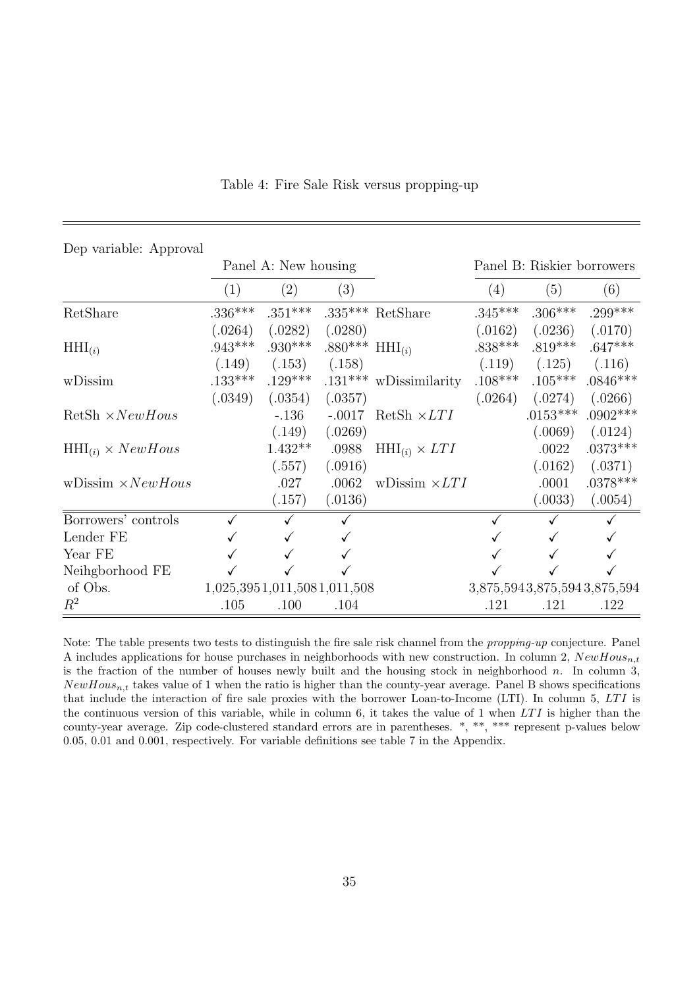<span id="page-34-0"></span>

| Dep variable: Approval      |           |                             |                     |                             |                            |            |                             |
|-----------------------------|-----------|-----------------------------|---------------------|-----------------------------|----------------------------|------------|-----------------------------|
|                             |           | Panel A: New housing        |                     |                             | Panel B: Riskier borrowers |            |                             |
|                             | (1)       | (2)                         | (3)                 |                             | (4)                        | (5)        | (6)                         |
| RetShare                    | $.336***$ | $.351***$                   |                     | $.335***$ RetShare          | $.345***$                  | $.306***$  | $.299***$                   |
|                             | (.0264)   | (.0282)                     | (.0280)             |                             | (.0162)                    | (.0236)    | (.0170)                     |
| $HHI_{(i)}$                 | $.943***$ | $.930***$                   | .880*** $HHI_{(i)}$ |                             | $.838***$                  | $.819***$  | $.647***$                   |
|                             | (.149)    | (.153)                      | (.158)              |                             | (.119)                     | (.125)     | (.116)                      |
| wDissim                     | $.133***$ | $.129***$                   |                     | $.131***$ wDissimilarity    | $.108***$                  | $.105***$  | $.0846***$                  |
|                             | (.0349)   | (.0354)                     | (.0357)             |                             | (.0264)                    | (.0274)    | (.0266)                     |
| $RetSh \times NewHouse$     |           | $-.136$                     |                     | $-.0017$ RetSh $\times LTI$ |                            | $.0153***$ | $.0902***$                  |
|                             |           | (.149)                      | (.0269)             |                             |                            | (.0069)    | (.0124)                     |
| $HHI_{(i)} \times NewHouse$ |           | $1.432**$                   | .0988               | $HHI_{(i)} \times LTI$      |                            | .0022      | $.0373***$                  |
|                             |           | (.557)                      | (.0916)             |                             |                            | (.0162)    | (.0371)                     |
| wDissim $\times NewHouse$   |           | .027                        | .0062               | wDissim $\times LTI$        |                            | .0001      | $.0378***$                  |
|                             |           | (.157)                      | (.0136)             |                             |                            | (.0033)    | (.0054)                     |
| Borrowers' controls         |           |                             |                     |                             |                            |            |                             |
| Lender FE                   |           |                             |                     |                             |                            |            |                             |
| Year FE                     |           |                             |                     |                             |                            |            |                             |
| Neihgborhood FE             |           |                             |                     |                             |                            |            |                             |
| of Obs.                     |           | 1,025,3951,011,5081,011,508 |                     |                             |                            |            | 3,875,5943,875,5943,875,594 |
| $R^2$                       | .105      | .100                        | .104                |                             | .121                       | .121       | .122                        |

Table 4: Fire Sale Risk versus propping-up

Note: The table presents two tests to distinguish the fire sale risk channel from the propping-up conjecture. Panel A includes applications for house purchases in neighborhoods with new construction. In column 2,  $NewHouse_{n,t}$ is the fraction of the number of houses newly built and the housing stock in neighborhood  $n$ . In column 3,  $NewHouse$  takes value of 1 when the ratio is higher than the county-year average. Panel B shows specifications that include the interaction of fire sale proxies with the borrower Loan-to-Income (LTI). In column 5, LT I is the continuous version of this variable, while in column 6, it takes the value of 1 when  $LTI$  is higher than the county-year average. Zip code-clustered standard errors are in parentheses. \*, \*\*, \*\*\* represent p-values below 0.05, 0.01 and 0.001, respectively. For variable definitions see table [7](#page-39-0) in the Appendix.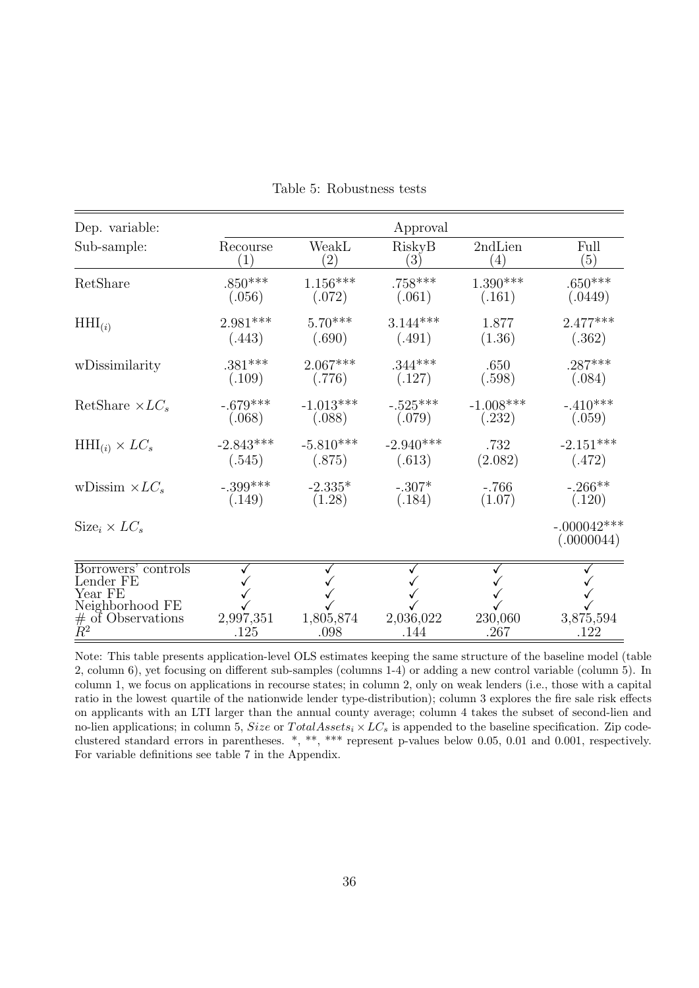<span id="page-35-0"></span>

| Dep. variable:                                                                                        |                   |                   | Approval          |                   |                             |
|-------------------------------------------------------------------------------------------------------|-------------------|-------------------|-------------------|-------------------|-----------------------------|
| Sub-sample:                                                                                           | Recourse          | WeakL             | RiskyB            | 2ndLien           | Full                        |
|                                                                                                       | (1)               | $\left( 2\right)$ | $\left(3\right)$  | $\left( 4\right)$ | (5)                         |
| RetShare                                                                                              | $.850***$         | $1.156***$        | $.758***$         | $1.390***$        | $.650***$                   |
|                                                                                                       | (.056)            | (.072)            | (.061)            | (.161)            | (.0449)                     |
| $HHI_{(i)}$                                                                                           | $2.981***$        | $5.70***$         | $3.144***$        | 1.877             | $2.477***$                  |
|                                                                                                       | (.443)            | (.690)            | (.491)            | (1.36)            | (.362)                      |
| wDissimilarity                                                                                        | $.381***$         | $2.067***$        | $.344***$         | .650              | $.287***$                   |
|                                                                                                       | (.109)            | (.776)            | (.127)            | (.598)            | (.084)                      |
| RetShare $\times LC_s$                                                                                | $-.679***$        | $-1.013***$       | $-.525***$        | $-1.008***$       | $-.410***$                  |
|                                                                                                       | (.068)            | (.088)            | (.079)            | (.232)            | (.059)                      |
| $HHI_{(i)} \times LC_s$                                                                               | $-2.843***$       | $-5.810***$       | $-2.940***$       | .732              | $-2.151***$                 |
|                                                                                                       | (.545)            | (.875)            | (.613)            | (2.082)           | (.472)                      |
| wDissim $\times LC_s$                                                                                 | $-.399***$        | $-2.335*$         | $-.307*$          | $-.766$           | $-.266**$                   |
|                                                                                                       | (.149)            | (1.28)            | (.184)            | (1.07)            | (.120)                      |
| $Size_i \times LC_s$                                                                                  |                   |                   |                   |                   | $-.000042***$<br>(.0000044) |
| Borrowers' controls<br>Lender FE<br>Year FE<br>Neighborhood FE<br>$#$ of Observations<br>$\ddot{R}^2$ | 2,997,351<br>.125 | 1,805,874<br>.098 | 2,036,022<br>.144 | 230,060<br>.267   | 3,875,594<br>.122           |

Table 5: Robustness tests

Note: This table presents application-level OLS estimates keeping the same structure of the baseline model (table [2,](#page-32-0) column 6), yet focusing on different sub-samples (columns 1-4) or adding a new control variable (column 5). In column 1, we focus on applications in recourse states; in column 2, only on weak lenders (i.e., those with a capital ratio in the lowest quartile of the nationwide lender type-distribution); column 3 explores the fire sale risk effects on applicants with an LTI larger than the annual county average; column 4 takes the subset of second-lien and no-lien applications; in column 5, Size or TotalAssets<sub>i</sub>  $\times LC_s$  is appended to the baseline specification. Zip codeclustered standard errors in parentheses. \*, \*\*, \*\*\* represent p-values below 0.05, 0.01 and 0.001, respectively. For variable definitions see table [7](#page-39-0) in the Appendix.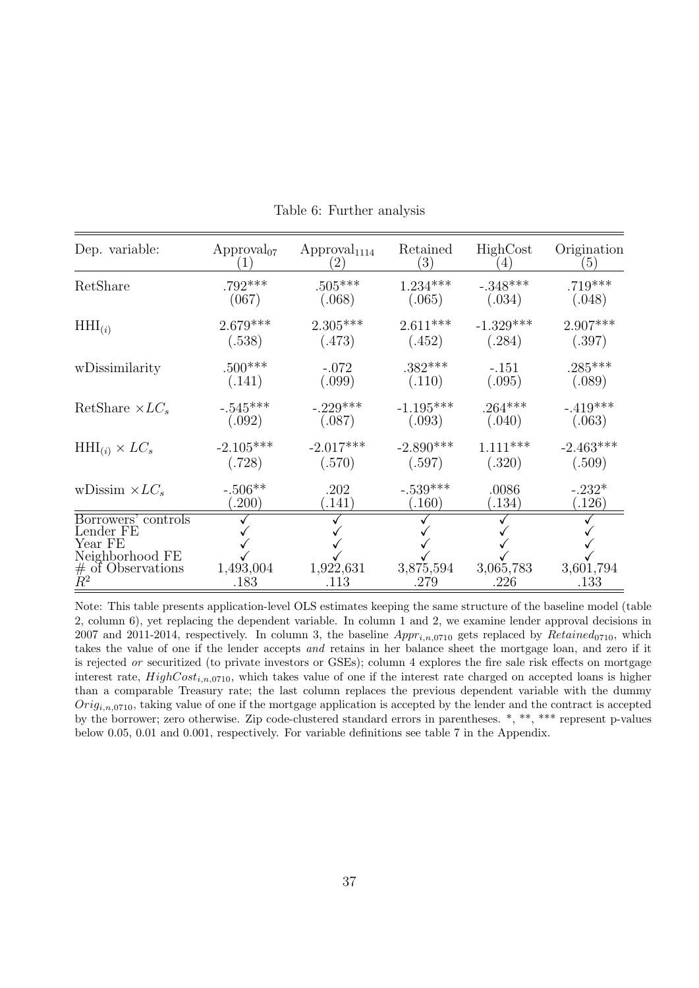<span id="page-36-0"></span>

| Dep. variable:                                                                                       | $\rm{Approxal}_{07}$ | $\rm{Approval}_{1114}$ | Retained<br>$\left( 3\right)$ | HighCost<br>$\left(4\right)$ | Origination<br>$\left(5\right)$ |
|------------------------------------------------------------------------------------------------------|----------------------|------------------------|-------------------------------|------------------------------|---------------------------------|
| RetShare                                                                                             | $.792***$            | $.505***$              | $1.234***$                    | $-.348***$                   | $.719***$                       |
|                                                                                                      | (067)                | (.068)                 | (.065)                        | (.034)                       | (.048)                          |
| $HHI_{(i)}$                                                                                          | $2.679***$           | $2.305***$             | $2.611***$                    | $-1.329***$                  | $2.907***$                      |
|                                                                                                      | (.538)               | (.473)                 | (.452)                        | (.284)                       | (.397)                          |
| wDissimilarity                                                                                       | $.500***$            | $-.072$                | $.382***$                     | $-.151$                      | $.285***$                       |
|                                                                                                      | (.141)               | (.099)                 | (.110)                        | (.095)                       | (.089)                          |
| RetShare $\times LC_s$                                                                               | $-.545***$           | $-.229***$             | $-1.195***$                   | $.264***$                    | $-.419***$                      |
|                                                                                                      | (.092)               | (.087)                 | (.093)                        | (.040)                       | (.063)                          |
| $HHI_{(i)} \times LC_s$                                                                              | $-2.105***$          | $-2.017***$            | $-2.890***$                   | $1.111***$                   | $-2.463***$                     |
|                                                                                                      | (.728)               | (.570)                 | (.597)                        | (.320)                       | (.509)                          |
| wDissim $\times LC_s$                                                                                | $-.506**$            | .202                   | $-.539***$                    | .0086                        | $-.232*$                        |
|                                                                                                      | (.200)               | (0.141)                | (.160)                        | (.134)                       | (.126)                          |
| Borrowers' controls<br>Lender FE<br>Year FE<br>Neighborhood FE<br>$#$ of Observations<br>$\bar{R}^2$ | 1,493,004<br>.183    | 1,922,631<br>.113      | 3,875,594<br>.279             | 3,065,783<br>.226            | 3,601,794<br>.133               |

Table 6: Further analysis

Note: This table presents application-level OLS estimates keeping the same structure of the baseline model (table [2,](#page-32-0) column 6), yet replacing the dependent variable. In column 1 and 2, we examine lender approval decisions in 2007 and 2011-2014, respectively. In column 3, the baseline  $Appr_{i,n,0710}$  gets replaced by  $Retained_{0710}$ , which takes the value of one if the lender accepts and retains in her balance sheet the mortgage loan, and zero if it is rejected or securitized (to private investors or GSEs); column 4 explores the fire sale risk effects on mortgage interest rate,  $HighCost_{i,n,0710}$ , which takes value of one if the interest rate charged on accepted loans is higher than a comparable Treasury rate; the last column replaces the previous dependent variable with the dummy  $Orig_{i,n,0710}$ , taking value of one if the mortgage application is accepted by the lender and the contract is accepted by the borrower; zero otherwise. Zip code-clustered standard errors in parentheses. \*, \*\*, \*\*\* represent p-values below 0.05, 0.01 and 0.001, respectively. For variable definitions see table [7](#page-39-0) in the Appendix.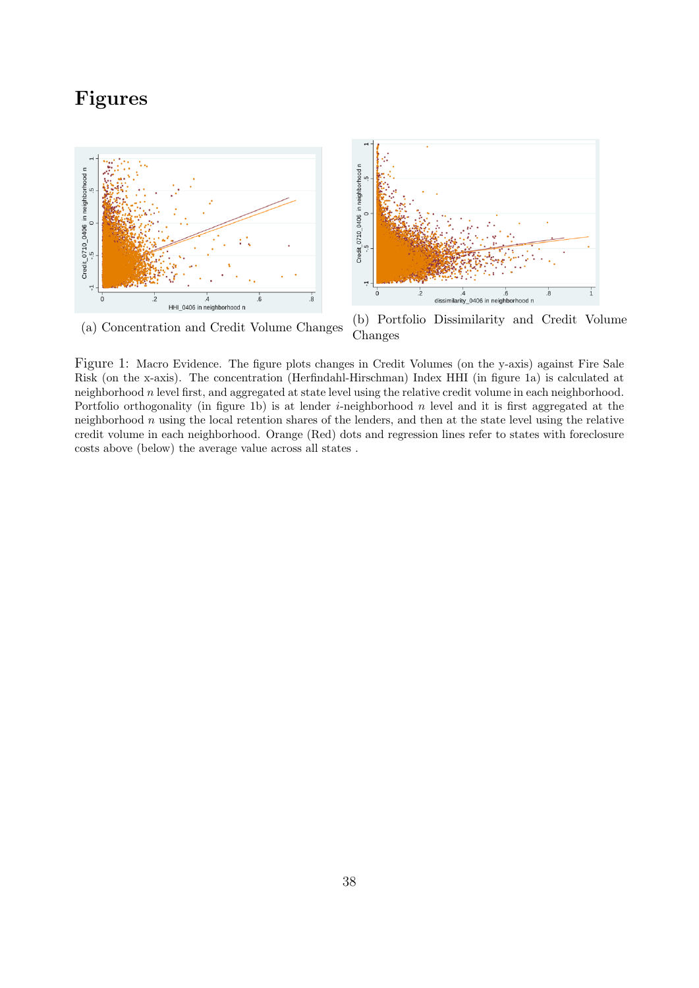## Figures

<span id="page-37-0"></span>



Figure 1: Macro Evidence. The figure plots changes in Credit Volumes (on the y-axis) against Fire Sale Risk (on the x-axis). The concentration (Herfindahl-Hirschman) Index HHI (in figure [1a\)](#page-37-0) is calculated at neighborhood  $n$  level first, and aggregated at state level using the relative credit volume in each neighborhood. Portfolio orthogonality (in figure [1b\)](#page-37-0) is at lender *i*-neighborhood  $n$  level and it is first aggregated at the neighborhood  $n$  using the local retention shares of the lenders, and then at the state level using the relative credit volume in each neighborhood. Orange (Red) dots and regression lines refer to states with foreclosure costs above (below) the average value across all states .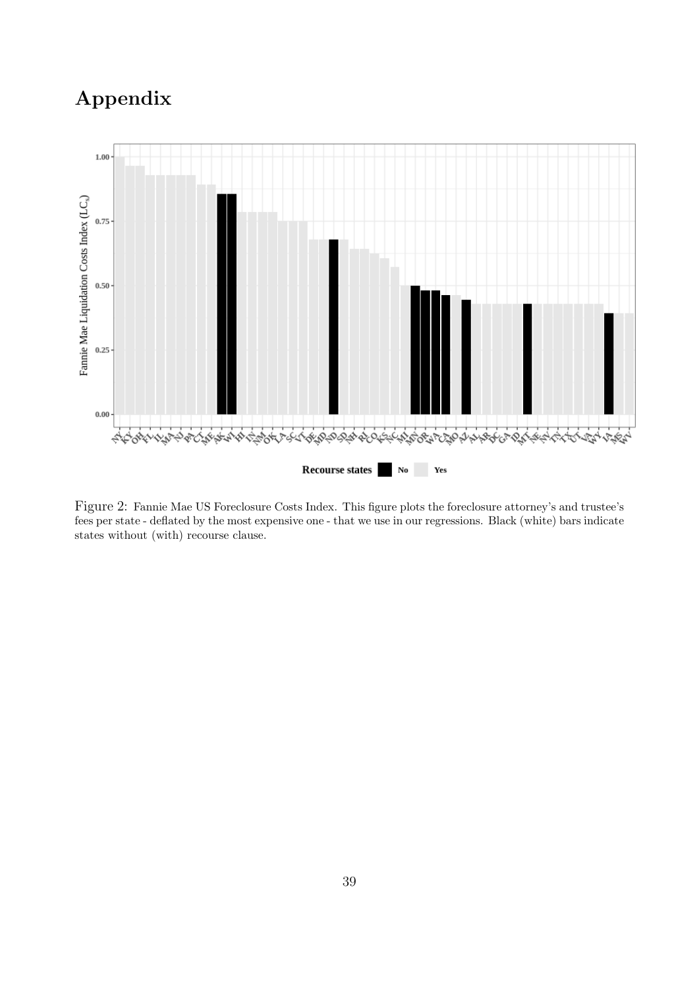# Appendix

<span id="page-38-0"></span>

Figure 2: Fannie Mae US Foreclosure Costs Index. This figure plots the foreclosure attorney's and trustee's fees per state - deflated by the most expensive one - that we use in our regressions. Black (white) bars indicate states without (with) recourse clause.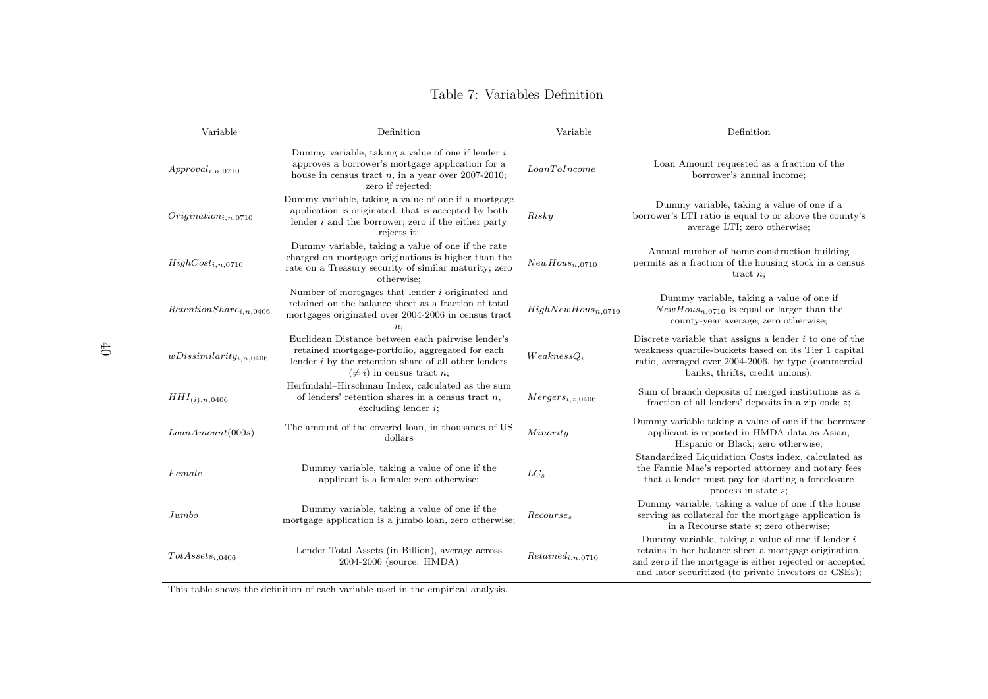#### <span id="page-39-0"></span>Table 7: Variables Definition

| Variable                    | Definition                                                                                                                                                                                       | Variable                | Definition                                                                                                                                                                                                                      |
|-----------------------------|--------------------------------------------------------------------------------------------------------------------------------------------------------------------------------------------------|-------------------------|---------------------------------------------------------------------------------------------------------------------------------------------------------------------------------------------------------------------------------|
| $Append_{i,n.0710}$         | Dummy variable, taking a value of one if lender $i$<br>approves a borrower's mortgage application for a<br>house in census tract $n$ , in a year over 2007-2010;<br>zero if rejected;            | LoanTolncome            | Loan Amount requested as a fraction of the<br>borrower's annual income:                                                                                                                                                         |
| $Origination_{i,n.0710}$    | Dummy variable, taking a value of one if a mortgage<br>application is originated, that is accepted by both<br>lender $i$ and the borrower; zero if the either party<br>rejects it;               | Risky                   | Dummy variable, taking a value of one if a<br>borrower's LTI ratio is equal to or above the county's<br>average LTI; zero otherwise;                                                                                            |
| $HighCost_{i,n,0710}$       | Dummy variable, taking a value of one if the rate<br>charged on mortgage originations is higher than the<br>rate on a Treasury security of similar maturity; zero<br>otherwise;                  | $NewHouse_{n,0710}$     | Annual number of home construction building<br>permits as a fraction of the housing stock in a census<br>tract $n$ ;                                                                                                            |
| $RetentionShare_{i,n,0406}$ | Number of mortgages that lender i originated and<br>retained on the balance sheet as a fraction of total<br>mortgages originated over 2004-2006 in census tract                                  | $HighNewHouse_{n,0710}$ | Dummy variable, taking a value of one if<br>$NewHouse_{n,0710}$ is equal or larger than the<br>county-year average; zero otherwise;                                                                                             |
| $wDissimilarity_{i,n,0406}$ | Euclidean Distance between each pairwise lender's<br>retained mortgage-portfolio, aggregated for each<br>lender $i$ by the retention share of all other lenders<br>$(\neq i)$ in census tract n; | $We a kness Q_i$        | Discrete variable that assigns a lender $i$ to one of the<br>weakness quartile-buckets based on its Tier 1 capital<br>ratio, averaged over 2004-2006, by type (commercial<br>banks, thrifts, credit unions);                    |
| $HHI_{(i),n,0406}$          | Herfindahl-Hirschman Index, calculated as the sum<br>of lenders' retention shares in a census tract $n$ ,<br>excluding lender $i$ ;                                                              | $Mergers_{i.z,0406}$    | Sum of branch deposits of merged institutions as a<br>fraction of all lenders' deposits in a zip code $z$ ;                                                                                                                     |
| LoanAmount(000s)            | The amount of the covered loan, in thousands of US<br>dollars                                                                                                                                    | Minority                | Dummy variable taking a value of one if the borrower<br>applicant is reported in HMDA data as Asian,<br>Hispanic or Black; zero otherwise;                                                                                      |
| Female                      | Dummy variable, taking a value of one if the<br>applicant is a female; zero otherwise;                                                                                                           | $LC_s$                  | Standardized Liquidation Costs index, calculated as<br>the Fannie Mae's reported attorney and notary fees<br>that a lender must pay for starting a foreclosure<br>process in state $s$ ;                                        |
| Jumbo                       | Dummy variable, taking a value of one if the<br>mortgage application is a jumbo loan, zero otherwise;                                                                                            | Recourse <sub>s</sub>   | Dummy variable, taking a value of one if the house<br>serving as collateral for the mortgage application is<br>in a Recourse state $s$ ; zero otherwise;                                                                        |
| $TotAssets_{i.0406}$        | Lender Total Assets (in Billion), average across<br>2004-2006 (source: HMDA)                                                                                                                     | $Retained_{i,n,0710}$   | Dummy variable, taking a value of one if lender $i$<br>retains in her balance sheet a mortgage origination,<br>and zero if the mortgage is either rejected or accepted<br>and later securitized (to private investors or GSEs); |

This table shows the definition of each variable used in the empirical analysis.

 $40\,$